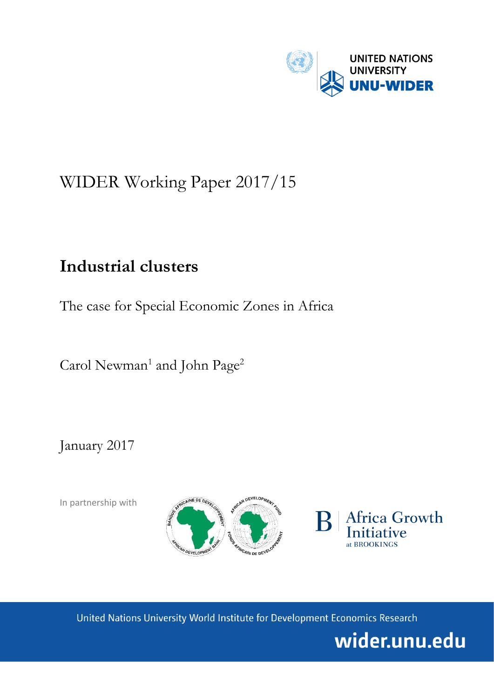

# WIDER Working Paper 2017/15

## **Industrial clusters**

The case for Special Economic Zones in Africa

Carol Newman<sup>1</sup> and John Page<sup>2</sup>

January 2017

In partnership with





United Nations University World Institute for Development Economics Research

wider.unu.edu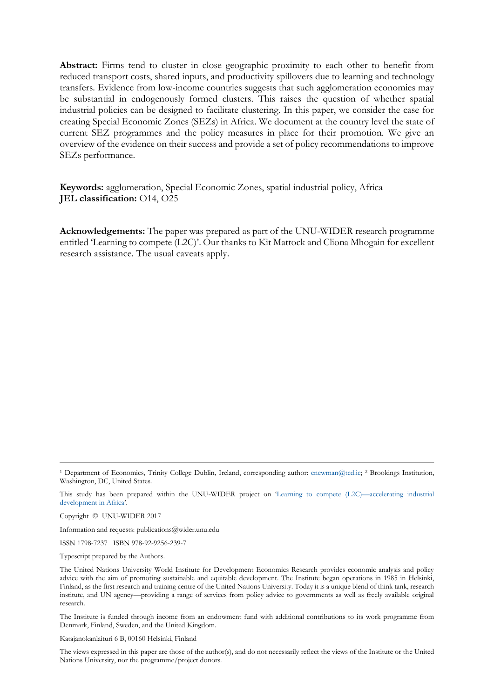**Abstract:** Firms tend to cluster in close geographic proximity to each other to benefit from reduced transport costs, shared inputs, and productivity spillovers due to learning and technology transfers. Evidence from low-income countries suggests that such agglomeration economies may be substantial in endogenously formed clusters. This raises the question of whether spatial industrial policies can be designed to facilitate clustering. In this paper, we consider the case for creating Special Economic Zones (SEZs) in Africa. We document at the country level the state of current SEZ programmes and the policy measures in place for their promotion. We give an overview of the evidence on their success and provide a set of policy recommendations to improve SEZs performance.

**Keywords:** agglomeration, Special Economic Zones, spatial industrial policy, Africa **JEL classification:** O14, O25

**Acknowledgements:** The paper was prepared as part of the UNU-WIDER research programme entitled 'Learning to compete (L2C)'. Our thanks to Kit Mattock and Cliona Mhogain for excellent research assistance. The usual caveats apply.

Copyright © UNU-WIDER 2017

Information and requests: publications@wider.unu.edu

ISSN 1798-7237 ISBN 978-92-9256-239-7

Typescript prepared by the Authors.

The Institute is funded through income from an endowment fund with additional contributions to its work programme from Denmark, Finland, Sweden, and the United Kingdom.

Katajanokanlaituri 6 B, 00160 Helsinki, Finland

The views expressed in this paper are those of the author(s), and do not necessarily reflect the views of the Institute or the United Nations University, nor the programme/project donors.

<sup>1</sup> Department of Economics, Trinity College Dublin, Ireland, corresponding author: [cnewman@tcd.ie;](mailto:cnewman@tcd.ie) <sup>2</sup> Brookings Institution, Washington, DC, United States.

This study has been prepared within the UNU-WIDER project on '[Learning to compete \(L2C\)](https://www.wider.unu.edu/node/388)—accelerating industrial [development in Africa](https://www.wider.unu.edu/node/388)'.

The United Nations University World Institute for Development Economics Research provides economic analysis and policy advice with the aim of promoting sustainable and equitable development. The Institute began operations in 1985 in Helsinki, Finland, as the first research and training centre of the United Nations University. Today it is a unique blend of think tank, research institute, and UN agency—providing a range of services from policy advice to governments as well as freely available original research.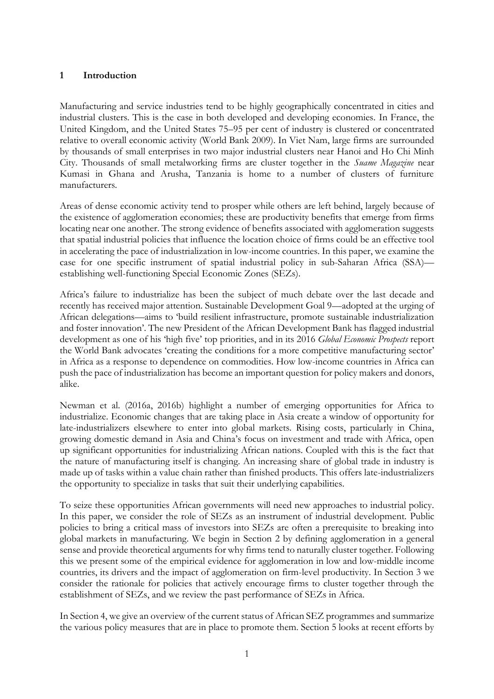## **1 Introduction**

Manufacturing and service industries tend to be highly geographically concentrated in cities and industrial clusters. This is the case in both developed and developing economies. In France, the United Kingdom, and the United States 75–95 per cent of industry is clustered or concentrated relative to overall economic activity (World Bank 2009). In Viet Nam, large firms are surrounded by thousands of small enterprises in two major industrial clusters near Hanoi and Ho Chi Minh City. Thousands of small metalworking firms are cluster together in the *Suame Magazine* near Kumasi in Ghana and Arusha, Tanzania is home to a number of clusters of furniture manufacturers.

Areas of dense economic activity tend to prosper while others are left behind, largely because of the existence of agglomeration economies; these are productivity benefits that emerge from firms locating near one another. The strong evidence of benefits associated with agglomeration suggests that spatial industrial policies that influence the location choice of firms could be an effective tool in accelerating the pace of industrialization in low-income countries. In this paper, we examine the case for one specific instrument of spatial industrial policy in sub-Saharan Africa (SSA) establishing well-functioning Special Economic Zones (SEZs).

Africa's failure to industrialize has been the subject of much debate over the last decade and recently has received major attention. Sustainable Development Goal 9—adopted at the urging of African delegations—aims to 'build resilient infrastructure, promote sustainable industrialization and foster innovation'. The new President of the African Development Bank has flagged industrial development as one of his 'high five' top priorities, and in its 2016 *Global Economic Prospects* report the World Bank advocates 'creating the conditions for a more competitive manufacturing sector' in Africa as a response to dependence on commodities. How low-income countries in Africa can push the pace of industrialization has become an important question for policy makers and donors, alike.

Newman et al. (2016a, 2016b) highlight a number of emerging opportunities for Africa to industrialize. Economic changes that are taking place in Asia create a window of opportunity for late-industrializers elsewhere to enter into global markets. Rising costs, particularly in China, growing domestic demand in Asia and China's focus on investment and trade with Africa, open up significant opportunities for industrializing African nations. Coupled with this is the fact that the nature of manufacturing itself is changing. An increasing share of global trade in industry is made up of tasks within a value chain rather than finished products. This offers late-industrializers the opportunity to specialize in tasks that suit their underlying capabilities.

To seize these opportunities African governments will need new approaches to industrial policy. In this paper, we consider the role of SEZs as an instrument of industrial development. Public policies to bring a critical mass of investors into SEZs are often a prerequisite to breaking into global markets in manufacturing. We begin in Section 2 by defining agglomeration in a general sense and provide theoretical arguments for why firms tend to naturally cluster together. Following this we present some of the empirical evidence for agglomeration in low and low-middle income countries, its drivers and the impact of agglomeration on firm-level productivity. In Section 3 we consider the rationale for policies that actively encourage firms to cluster together through the establishment of SEZs, and we review the past performance of SEZs in Africa.

In Section 4, we give an overview of the current status of African SEZ programmes and summarize the various policy measures that are in place to promote them. Section 5 looks at recent efforts by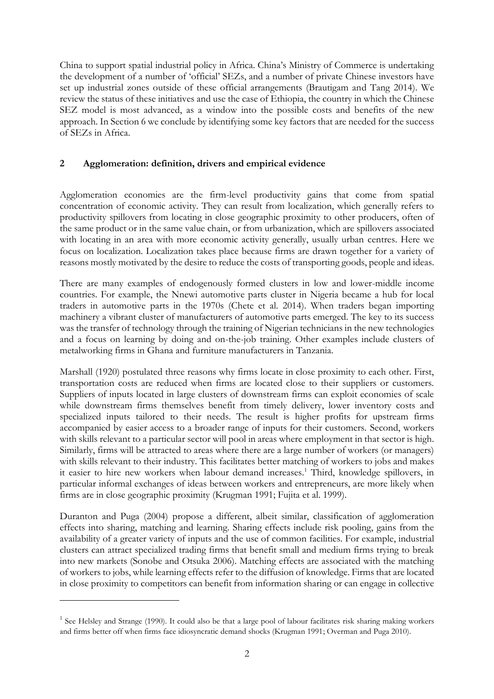China to support spatial industrial policy in Africa. China's Ministry of Commerce is undertaking the development of a number of 'official' SEZs, and a number of private Chinese investors have set up industrial zones outside of these official arrangements (Brautigam and Tang 2014). We review the status of these initiatives and use the case of Ethiopia, the country in which the Chinese SEZ model is most advanced, as a window into the possible costs and benefits of the new approach. In Section 6 we conclude by identifying some key factors that are needed for the success of SEZs in Africa.

## **2 Agglomeration: definition, drivers and empirical evidence**

Agglomeration economies are the firm-level productivity gains that come from spatial concentration of economic activity. They can result from localization, which generally refers to productivity spillovers from locating in close geographic proximity to other producers, often of the same product or in the same value chain, or from urbanization, which are spillovers associated with locating in an area with more economic activity generally, usually urban centres. Here we focus on localization. Localization takes place because firms are drawn together for a variety of reasons mostly motivated by the desire to reduce the costs of transporting goods, people and ideas.

There are many examples of endogenously formed clusters in low and lower-middle income countries. For example, the Nnewi automotive parts cluster in Nigeria became a hub for local traders in automotive parts in the 1970s (Chete et al. 2014). When traders began importing machinery a vibrant cluster of manufacturers of automotive parts emerged. The key to its success was the transfer of technology through the training of Nigerian technicians in the new technologies and a focus on learning by doing and on-the-job training. Other examples include clusters of metalworking firms in Ghana and furniture manufacturers in Tanzania.

Marshall (1920) postulated three reasons why firms locate in close proximity to each other. First, transportation costs are reduced when firms are located close to their suppliers or customers. Suppliers of inputs located in large clusters of downstream firms can exploit economies of scale while downstream firms themselves benefit from timely delivery, lower inventory costs and specialized inputs tailored to their needs. The result is higher profits for upstream firms accompanied by easier access to a broader range of inputs for their customers. Second, workers with skills relevant to a particular sector will pool in areas where employment in that sector is high. Similarly, firms will be attracted to areas where there are a large number of workers (or managers) with skills relevant to their industry. This facilitates better matching of workers to jobs and makes it easier to hire new workers when labour demand increases.<sup>1</sup> Third, knowledge spillovers, in particular informal exchanges of ideas between workers and entrepreneurs, are more likely when firms are in close geographic proximity (Krugman 1991; Fujita et al. 1999).

Duranton and Puga (2004) propose a different, albeit similar, classification of agglomeration effects into sharing, matching and learning. Sharing effects include risk pooling, gains from the availability of a greater variety of inputs and the use of common facilities. For example, industrial clusters can attract specialized trading firms that benefit small and medium firms trying to break into new markets (Sonobe and Otsuka 2006). Matching effects are associated with the matching of workers to jobs, while learning effects refer to the diffusion of knowledge. Firms that are located in close proximity to competitors can benefit from information sharing or can engage in collective

<u>.</u>

<sup>&</sup>lt;sup>1</sup> See Helsley and Strange (1990). It could also be that a large pool of labour facilitates risk sharing making workers and firms better off when firms face idiosyncratic demand shocks (Krugman 1991; Overman and Puga 2010).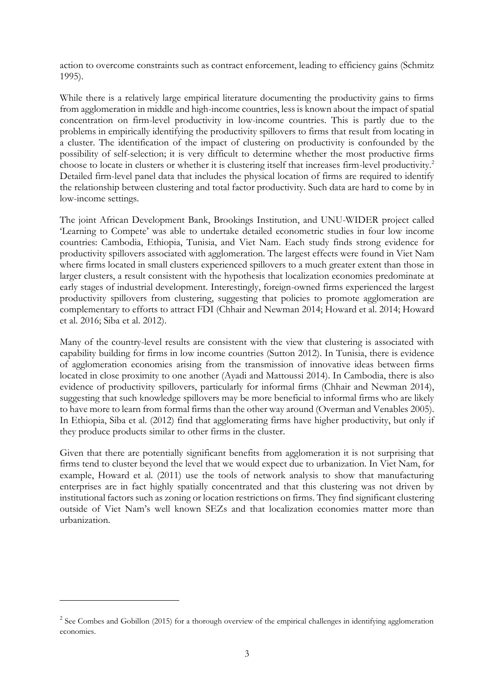action to overcome constraints such as contract enforcement, leading to efficiency gains (Schmitz 1995).

While there is a relatively large empirical literature documenting the productivity gains to firms from agglomeration in middle and high-income countries, less is known about the impact of spatial concentration on firm-level productivity in low-income countries. This is partly due to the problems in empirically identifying the productivity spillovers to firms that result from locating in a cluster. The identification of the impact of clustering on productivity is confounded by the possibility of self-selection; it is very difficult to determine whether the most productive firms choose to locate in clusters or whether it is clustering itself that increases firm-level productivity.<sup>2</sup> Detailed firm-level panel data that includes the physical location of firms are required to identify the relationship between clustering and total factor productivity. Such data are hard to come by in low-income settings.

The joint African Development Bank, Brookings Institution, and UNU-WIDER project called 'Learning to Compete' was able to undertake detailed econometric studies in four low income countries: Cambodia, Ethiopia, Tunisia, and Viet Nam. Each study finds strong evidence for productivity spillovers associated with agglomeration. The largest effects were found in Viet Nam where firms located in small clusters experienced spillovers to a much greater extent than those in larger clusters, a result consistent with the hypothesis that localization economies predominate at early stages of industrial development. Interestingly, foreign-owned firms experienced the largest productivity spillovers from clustering, suggesting that policies to promote agglomeration are complementary to efforts to attract FDI (Chhair and Newman 2014; Howard et al. 2014; Howard et al. 2016; Siba et al. 2012).

Many of the country-level results are consistent with the view that clustering is associated with capability building for firms in low income countries (Sutton 2012). In Tunisia, there is evidence of agglomeration economies arising from the transmission of innovative ideas between firms located in close proximity to one another (Ayadi and Mattoussi 2014). In Cambodia, there is also evidence of productivity spillovers, particularly for informal firms (Chhair and Newman 2014), suggesting that such knowledge spillovers may be more beneficial to informal firms who are likely to have more to learn from formal firms than the other way around (Overman and Venables 2005). In Ethiopia, Siba et al. (2012) find that agglomerating firms have higher productivity, but only if they produce products similar to other firms in the cluster.

Given that there are potentially significant benefits from agglomeration it is not surprising that firms tend to cluster beyond the level that we would expect due to urbanization. In Viet Nam, for example, Howard et al. (2011) use the tools of network analysis to show that manufacturing enterprises are in fact highly spatially concentrated and that this clustering was not driven by institutional factors such as zoning or location restrictions on firms. They find significant clustering outside of Viet Nam's well known SEZs and that localization economies matter more than urbanization.

<u>.</u>

 $2$  See Combes and Gobillon (2015) for a thorough overview of the empirical challenges in identifying agglomeration economies.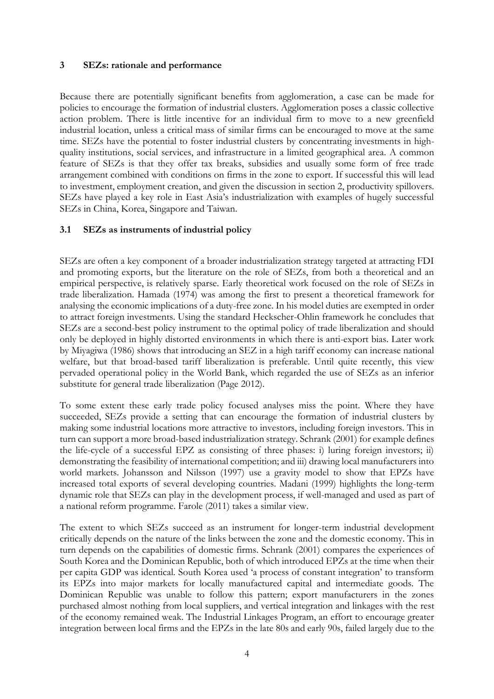#### **3 SEZs: rationale and performance**

Because there are potentially significant benefits from agglomeration, a case can be made for policies to encourage the formation of industrial clusters. Agglomeration poses a classic collective action problem. There is little incentive for an individual firm to move to a new greenfield industrial location, unless a critical mass of similar firms can be encouraged to move at the same time. SEZs have the potential to foster industrial clusters by concentrating investments in highquality institutions, social services, and infrastructure in a limited geographical area. A common feature of SEZs is that they offer tax breaks, subsidies and usually some form of free trade arrangement combined with conditions on firms in the zone to export. If successful this will lead to investment, employment creation, and given the discussion in section 2, productivity spillovers. SEZs have played a key role in East Asia's industrialization with examples of hugely successful SEZs in China, Korea, Singapore and Taiwan.

## **3.1 SEZs as instruments of industrial policy**

SEZs are often a key component of a broader industrialization strategy targeted at attracting FDI and promoting exports, but the literature on the role of SEZs, from both a theoretical and an empirical perspective, is relatively sparse. Early theoretical work focused on the role of SEZs in trade liberalization. Hamada (1974) was among the first to present a theoretical framework for analysing the economic implications of a duty-free zone. In his model duties are exempted in order to attract foreign investments. Using the standard Heckscher-Ohlin framework he concludes that SEZs are a second-best policy instrument to the optimal policy of trade liberalization and should only be deployed in highly distorted environments in which there is anti-export bias. Later work by Miyagiwa (1986) shows that introducing an SEZ in a high tariff economy can increase national welfare, but that broad-based tariff liberalization is preferable. Until quite recently, this view pervaded operational policy in the World Bank, which regarded the use of SEZs as an inferior substitute for general trade liberalization (Page 2012).

To some extent these early trade policy focused analyses miss the point. Where they have succeeded, SEZs provide a setting that can encourage the formation of industrial clusters by making some industrial locations more attractive to investors, including foreign investors. This in turn can support a more broad-based industrialization strategy. Schrank (2001) for example defines the life-cycle of a successful EPZ as consisting of three phases: i) luring foreign investors; ii) demonstrating the feasibility of international competition; and iii) drawing local manufacturers into world markets. Johansson and Nilsson (1997) use a gravity model to show that EPZs have increased total exports of several developing countries. Madani (1999) highlights the long-term dynamic role that SEZs can play in the development process, if well-managed and used as part of a national reform programme. Farole (2011) takes a similar view.

The extent to which SEZs succeed as an instrument for longer-term industrial development critically depends on the nature of the links between the zone and the domestic economy. This in turn depends on the capabilities of domestic firms. Schrank (2001) compares the experiences of South Korea and the Dominican Republic, both of which introduced EPZs at the time when their per capita GDP was identical. South Korea used 'a process of constant integration' to transform its EPZs into major markets for locally manufactured capital and intermediate goods. The Dominican Republic was unable to follow this pattern; export manufacturers in the zones purchased almost nothing from local suppliers, and vertical integration and linkages with the rest of the economy remained weak. The Industrial Linkages Program, an effort to encourage greater integration between local firms and the EPZs in the late 80s and early 90s, failed largely due to the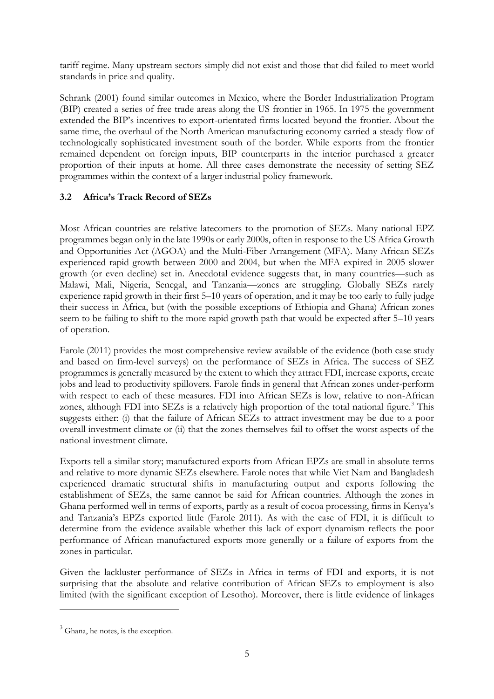tariff regime. Many upstream sectors simply did not exist and those that did failed to meet world standards in price and quality.

Schrank (2001) found similar outcomes in Mexico, where the Border Industrialization Program (BIP) created a series of free trade areas along the US frontier in 1965. In 1975 the government extended the BIP's incentives to export-orientated firms located beyond the frontier. About the same time, the overhaul of the North American manufacturing economy carried a steady flow of technologically sophisticated investment south of the border. While exports from the frontier remained dependent on foreign inputs, BIP counterparts in the interior purchased a greater proportion of their inputs at home. All three cases demonstrate the necessity of setting SEZ programmes within the context of a larger industrial policy framework.

## **3.2 Africa's Track Record of SEZs**

Most African countries are relative latecomers to the promotion of SEZs. Many national EPZ programmes began only in the late 1990s or early 2000s, often in response to the US Africa Growth and Opportunities Act (AGOA) and the Multi-Fiber Arrangement (MFA). Many African SEZs experienced rapid growth between 2000 and 2004, but when the MFA expired in 2005 slower growth (or even decline) set in. Anecdotal evidence suggests that, in many countries—such as Malawi, Mali, Nigeria, Senegal, and Tanzania—zones are struggling. Globally SEZs rarely experience rapid growth in their first 5–10 years of operation, and it may be too early to fully judge their success in Africa, but (with the possible exceptions of Ethiopia and Ghana) African zones seem to be failing to shift to the more rapid growth path that would be expected after 5–10 years of operation.

Farole (2011) provides the most comprehensive review available of the evidence (both case study and based on firm-level surveys) on the performance of SEZs in Africa. The success of SEZ programmes is generally measured by the extent to which they attract FDI, increase exports, create jobs and lead to productivity spillovers. Farole finds in general that African zones under-perform with respect to each of these measures. FDI into African SEZs is low, relative to non-African zones, although FDI into  $SEZs$  is a relatively high proportion of the total national figure.<sup>3</sup> This suggests either: (i) that the failure of African SEZs to attract investment may be due to a poor overall investment climate or (ii) that the zones themselves fail to offset the worst aspects of the national investment climate.

Exports tell a similar story; manufactured exports from African EPZs are small in absolute terms and relative to more dynamic SEZs elsewhere. Farole notes that while Viet Nam and Bangladesh experienced dramatic structural shifts in manufacturing output and exports following the establishment of SEZs, the same cannot be said for African countries. Although the zones in Ghana performed well in terms of exports, partly as a result of cocoa processing, firms in Kenya's and Tanzania's EPZs exported little (Farole 2011). As with the case of FDI, it is difficult to determine from the evidence available whether this lack of export dynamism reflects the poor performance of African manufactured exports more generally or a failure of exports from the zones in particular.

Given the lackluster performance of SEZs in Africa in terms of FDI and exports, it is not surprising that the absolute and relative contribution of African SEZs to employment is also limited (with the significant exception of Lesotho). Moreover, there is little evidence of linkages

-

 $3$  Ghana, he notes, is the exception.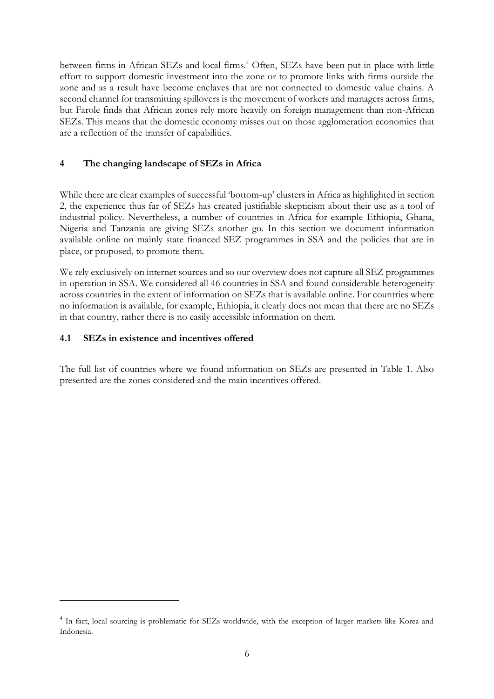between firms in African SEZs and local firms.<sup>4</sup> Often, SEZs have been put in place with little effort to support domestic investment into the zone or to promote links with firms outside the zone and as a result have become enclaves that are not connected to domestic value chains. A second channel for transmitting spillovers is the movement of workers and managers across firms, but Farole finds that African zones rely more heavily on foreign management than non-African SEZs. This means that the domestic economy misses out on those agglomeration economies that are a reflection of the transfer of capabilities.

## **4 The changing landscape of SEZs in Africa**

While there are clear examples of successful 'bottom-up' clusters in Africa as highlighted in section 2, the experience thus far of SEZs has created justifiable skepticism about their use as a tool of industrial policy. Nevertheless, a number of countries in Africa for example Ethiopia, Ghana, Nigeria and Tanzania are giving SEZs another go. In this section we document information available online on mainly state financed SEZ programmes in SSA and the policies that are in place, or proposed, to promote them.

We rely exclusively on internet sources and so our overview does not capture all SEZ programmes in operation in SSA. We considered all 46 countries in SSA and found considerable heterogeneity across countries in the extent of information on SEZs that is available online. For countries where no information is available, for example, Ethiopia, it clearly does not mean that there are no SEZs in that country, rather there is no easily accessible information on them.

## **4.1 SEZs in existence and incentives offered**

<u>.</u>

The full list of countries where we found information on SEZs are presented in Table 1. Also presented are the zones considered and the main incentives offered.

<sup>&</sup>lt;sup>4</sup> In fact, local sourcing is problematic for SEZs worldwide, with the exception of larger markets like Korea and Indonesia.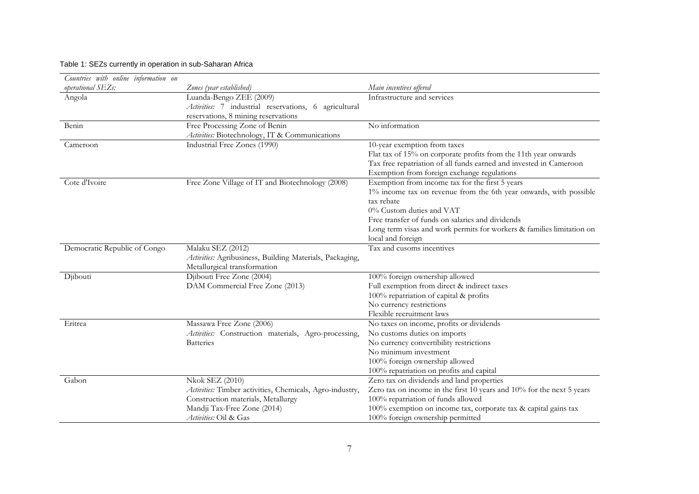#### Table 1: SEZs currently in operation in sub-Saharan Africa

| Countries with online information on |                                                          |                                                                       |
|--------------------------------------|----------------------------------------------------------|-----------------------------------------------------------------------|
| operational SEZs:                    | Zones (year established)                                 | Main incentives offered                                               |
| Angola                               | Luanda-Bengo ZEE (2009)                                  | Infrastructure and services                                           |
|                                      | Activities: 7 industrial reservations, 6 agricultural    |                                                                       |
|                                      | reservations, 8 mining reservations                      |                                                                       |
| Benin                                | Free Processing Zone of Benin                            | No information                                                        |
|                                      | Activities: Biotechnology, IT & Communications           |                                                                       |
| Cameroon                             | Industrial Free Zones (1990)                             | 10-year exemption from taxes                                          |
|                                      |                                                          | Flat tax of 15% on corporate profits from the 11th year onwards       |
|                                      |                                                          | Tax free repatriation of all funds earned and invested in Cameroon    |
|                                      |                                                          | Exemption from foreign exchange regulations                           |
| Cote d'Ivoire                        | Free Zone Village of IT and Biotechnology (2008)         | Exemption from income tax for the first 5 years                       |
|                                      |                                                          | 1% income tax on revenue from the 6th year onwards, with possible     |
|                                      |                                                          | tax rebate                                                            |
|                                      |                                                          | 0% Custom duties and VAT                                              |
|                                      |                                                          | Free transfer of funds on salaries and dividends                      |
|                                      |                                                          | Long term visas and work permits for workers & families limitation on |
|                                      |                                                          | local and foreign                                                     |
| Democratic Republic of Congo         | Malaku SEZ (2012)                                        | Tax and cusoms incentives                                             |
|                                      | Activities: Agribusiness, Building Materials, Packaging, |                                                                       |
|                                      | Metallurgical transformation                             |                                                                       |
| Djibouti                             | Djibouti Free Zone (2004)                                | 100% foreign ownership allowed                                        |
|                                      | DAM Commercial Free Zone (2013)                          | Full exemption from direct & indirect taxes                           |
|                                      |                                                          | 100% repatriation of capital & profits                                |
|                                      |                                                          | No currency restrictions<br>Flexible recruitment laws                 |
| Eritrea                              | Massawa Free Zone (2006)                                 | No taxes on income, profits or dividends                              |
|                                      | Activities: Construction materials, Agro-processing,     | No customs duties on imports                                          |
|                                      | <b>Batteries</b>                                         | No currency convertibility restrictions                               |
|                                      |                                                          | No minimum investment                                                 |
|                                      |                                                          | 100% foreign ownership allowed                                        |
|                                      |                                                          | 100% repatriation on profits and capital                              |
| Gabon                                | <b>Nkok SEZ (2010)</b>                                   | Zero tax on dividends and land properties                             |
|                                      | Activities: Timber activities, Chemicals, Agro-industry, | Zero tax on income in the first 10 years and 10% for the next 5 years |
|                                      | Construction materials, Metallurgy                       | 100% repatriation of funds allowed                                    |
|                                      | Mandji Tax-Free Zone (2014)                              | 100% exemption on income tax, corporate tax & capital gains tax       |
|                                      | Activities: Oil & Gas                                    | 100% foreign ownership permitted                                      |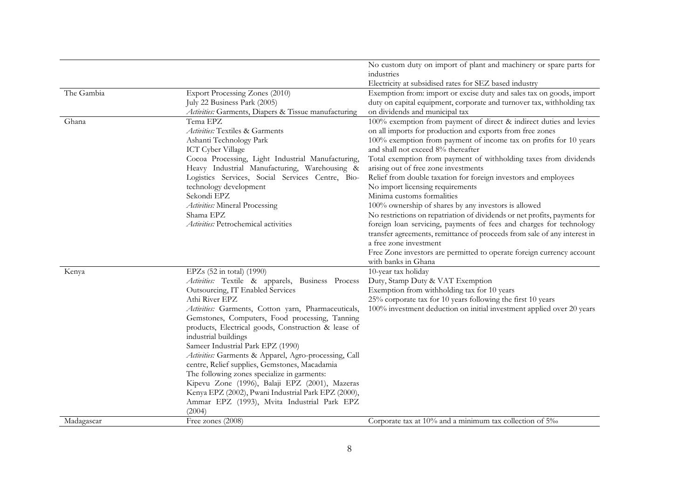|            |                                                                                                                                                                                                                                                                                                                                                                                                                                                                                                                                                                                                                                                                                             | No custom duty on import of plant and machinery or spare parts for<br>industries                                                                                                                                                                                                                                                                                                                                                                                                                                                                                                                                                                                                                                                                                                                                                                                                                              |
|------------|---------------------------------------------------------------------------------------------------------------------------------------------------------------------------------------------------------------------------------------------------------------------------------------------------------------------------------------------------------------------------------------------------------------------------------------------------------------------------------------------------------------------------------------------------------------------------------------------------------------------------------------------------------------------------------------------|---------------------------------------------------------------------------------------------------------------------------------------------------------------------------------------------------------------------------------------------------------------------------------------------------------------------------------------------------------------------------------------------------------------------------------------------------------------------------------------------------------------------------------------------------------------------------------------------------------------------------------------------------------------------------------------------------------------------------------------------------------------------------------------------------------------------------------------------------------------------------------------------------------------|
|            |                                                                                                                                                                                                                                                                                                                                                                                                                                                                                                                                                                                                                                                                                             | Electricity at subsidised rates for SEZ based industry                                                                                                                                                                                                                                                                                                                                                                                                                                                                                                                                                                                                                                                                                                                                                                                                                                                        |
| The Gambia | Export Processing Zones (2010)<br>July 22 Business Park (2005)<br>Activities: Garments, Diapers & Tissue manufacturing                                                                                                                                                                                                                                                                                                                                                                                                                                                                                                                                                                      | Exemption from: import or excise duty and sales tax on goods, import<br>duty on capital equipment, corporate and turnover tax, withholding tax<br>on dividends and municipal tax                                                                                                                                                                                                                                                                                                                                                                                                                                                                                                                                                                                                                                                                                                                              |
| Ghana      | Tema EPZ<br>Activities: Textiles & Garments<br>Ashanti Technology Park<br><b>ICT</b> Cyber Village<br>Cocoa Processing, Light Industrial Manufacturing,<br>Heavy Industrial Manufacturing, Warehousing &<br>Logistics Services, Social Services Centre, Bio-<br>technology development<br>Sekondi EPZ<br>Activities: Mineral Processing<br>Shama EPZ<br>Activities: Petrochemical activities                                                                                                                                                                                                                                                                                                | 100% exemption from payment of direct & indirect duties and levies<br>on all imports for production and exports from free zones<br>100% exemption from payment of income tax on profits for 10 years<br>and shall not exceed 8% thereafter<br>Total exemption from payment of withholding taxes from dividends<br>arising out of free zone investments<br>Relief from double taxation for foreign investors and employees<br>No import licensing requirements<br>Minima customs formalities<br>100% ownership of shares by any investors is allowed<br>No restrictions on repatriation of dividends or net profits, payments for<br>foreign loan servicing, payments of fees and charges for technology<br>transfer agreements, remittance of proceeds from sale of any interest in<br>a free zone investment<br>Free Zone investors are permitted to operate foreign currency account<br>with banks in Ghana |
| Kenya      | EPZs (52 in total) (1990)<br>Activities: Textile & apparels, Business Process<br>Outsourcing, IT Enabled Services<br>Athi River EPZ<br>Activities: Garments, Cotton yarn, Pharmaceuticals,<br>Gemstones, Computers, Food processing, Tanning<br>products, Electrical goods, Construction & lease of<br>industrial buildings<br>Sameer Industrial Park EPZ (1990)<br>Activities: Garments & Apparel, Agro-processing, Call<br>centre, Relief supplies, Gemstones, Macadamia<br>The following zones specialize in garments:<br>Kipevu Zone (1996), Balaji EPZ (2001), Mazeras<br>Kenya EPZ (2002), Pwani Industrial Park EPZ (2000),<br>Ammar EPZ (1993), Mvita Industrial Park EPZ<br>(2004) | 10-year tax holiday<br>Duty, Stamp Duty & VAT Exemption<br>Exemption from withholding tax for 10 years<br>25% corporate tax for 10 years following the first 10 years<br>100% investment deduction on initial investment applied over 20 years                                                                                                                                                                                                                                                                                                                                                                                                                                                                                                                                                                                                                                                                |
| Madagascar | Free zones (2008)                                                                                                                                                                                                                                                                                                                                                                                                                                                                                                                                                                                                                                                                           | Corporate tax at 10% and a minimum tax collection of 5%                                                                                                                                                                                                                                                                                                                                                                                                                                                                                                                                                                                                                                                                                                                                                                                                                                                       |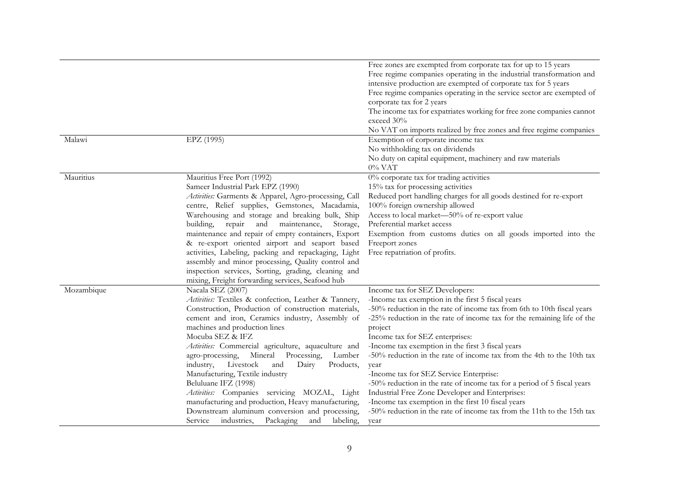| Malawi     | EPZ (1995)                                                                                                                                                                                                                                                                                                                                                                                                                                                                                                                                                                                                                                                                                    | Free zones are exempted from corporate tax for up to 15 years<br>Free regime companies operating in the industrial transformation and<br>intensive production are exempted of corporate tax for 5 years<br>Free regime companies operating in the service sector are exempted of<br>corporate tax for 2 years<br>The income tax for expatriates working for free zone companies cannot<br>exceed 30%<br>No VAT on imports realized by free zones and free regime companies<br>Exemption of corporate income tax<br>No withholding tax on dividends                                                                                                                                                                                           |
|------------|-----------------------------------------------------------------------------------------------------------------------------------------------------------------------------------------------------------------------------------------------------------------------------------------------------------------------------------------------------------------------------------------------------------------------------------------------------------------------------------------------------------------------------------------------------------------------------------------------------------------------------------------------------------------------------------------------|----------------------------------------------------------------------------------------------------------------------------------------------------------------------------------------------------------------------------------------------------------------------------------------------------------------------------------------------------------------------------------------------------------------------------------------------------------------------------------------------------------------------------------------------------------------------------------------------------------------------------------------------------------------------------------------------------------------------------------------------|
|            |                                                                                                                                                                                                                                                                                                                                                                                                                                                                                                                                                                                                                                                                                               | No duty on capital equipment, machinery and raw materials<br>$0\%$ VAT                                                                                                                                                                                                                                                                                                                                                                                                                                                                                                                                                                                                                                                                       |
| Mauritius  | Mauritius Free Port (1992)<br>Sameer Industrial Park EPZ (1990)<br>Activities: Garments & Apparel, Agro-processing, Call<br>centre, Relief supplies, Gemstones, Macadamia,<br>Warehousing and storage and breaking bulk, Ship<br>building, repair and<br>maintenance,<br>Storage,<br>maintenance and repair of empty containers, Export<br>& re-export oriented airport and seaport based<br>activities, Labeling, packing and repackaging, Light<br>assembly and minor processing, Quality control and<br>inspection services, Sorting, grading, cleaning and<br>mixing, Freight forwarding services, Seafood hub                                                                            | 0% corporate tax for trading activities<br>15% tax for processing activities<br>Reduced port handling charges for all goods destined for re-export<br>100% foreign ownership allowed<br>Access to local market-50% of re-export value<br>Preferential market access<br>Exemption from customs duties on all goods imported into the<br>Freeport zones<br>Free repatriation of profits.                                                                                                                                                                                                                                                                                                                                                       |
| Mozambique | Nacala SEZ (2007)<br>Activities: Textiles & confection, Leather & Tannery,<br>Construction, Production of construction materials,<br>cement and iron, Ceramics industry, Assembly of<br>machines and production lines<br>Mocuba SEZ & IFZ<br>Activities: Commercial agriculture, aquaculture and<br>Mineral<br>Processing,<br>agro-processing,<br>Lumber<br>Livestock<br>industry,<br>and<br>Dairy<br>Products,<br>Manufacturing, Textile industry<br>Beluluane IFZ (1998)<br>Activities: Companies servicing MOZAL, Light<br>manufacturing and production, Heavy manufacturing,<br>Downstream aluminum conversion and processing,<br>Packaging<br>labeling,<br>industries,<br>and<br>Service | Income tax for SEZ Developers:<br>-Income tax exemption in the first 5 fiscal years<br>-50% reduction in the rate of income tax from 6th to 10th fiscal years<br>-25% reduction in the rate of income tax for the remaining life of the<br>project<br>Income tax for SEZ enterprises:<br>-Income tax exemption in the first 3 fiscal years<br>-50% reduction in the rate of income tax from the 4th to the 10th tax<br>year<br>-Income tax for SEZ Service Enterprise:<br>-50% reduction in the rate of income tax for a period of 5 fiscal years<br>Industrial Free Zone Developer and Enterprises:<br>-Income tax exemption in the first 10 fiscal years<br>-50% reduction in the rate of income tax from the 11th to the 15th tax<br>year |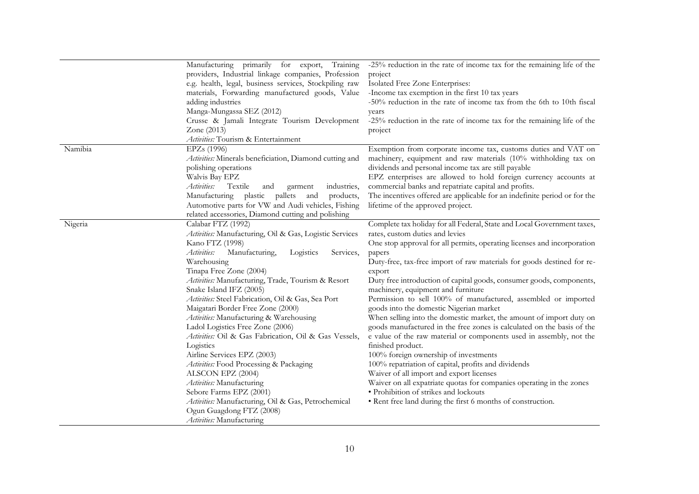|         | Manufacturing primarily for export,<br>Training                | -25% reduction in the rate of income tax for the remaining life of the    |
|---------|----------------------------------------------------------------|---------------------------------------------------------------------------|
|         | providers, Industrial linkage companies, Profession            | project                                                                   |
|         | e.g. health, legal, business services, Stockpiling raw         | Isolated Free Zone Enterprises:                                           |
|         | materials, Forwarding manufactured goods, Value                | -Income tax exemption in the first 10 tax years                           |
|         | adding industries                                              | -50% reduction in the rate of income tax from the 6th to 10th fiscal      |
|         | Manga-Mungassa SEZ (2012)                                      | years                                                                     |
|         | Crusse & Jamali Integrate Tourism Development                  | -25% reduction in the rate of income tax for the remaining life of the    |
|         | Zone (2013)                                                    | project                                                                   |
|         | Activities: Tourism & Entertainment                            |                                                                           |
| Namibia | EPZs (1996)                                                    | Exemption from corporate income tax, customs duties and VAT on            |
|         | <i>Activities:</i> Minerals beneficiation, Diamond cutting and | machinery, equipment and raw materials (10% withholding tax on            |
|         | polishing operations                                           | dividends and personal income tax are still payable                       |
|         | Walvis Bay EPZ                                                 | EPZ enterprises are allowed to hold foreign currency accounts at          |
|         | Activities:<br>Textile<br>industries,<br>and<br>garment        | commercial banks and repatriate capital and profits.                      |
|         | Manufacturing plastic pallets<br>products,<br>and              | The incentives offered are applicable for an indefinite period or for the |
|         | Automotive parts for VW and Audi vehicles, Fishing             | lifetime of the approved project.                                         |
|         | related accessories, Diamond cutting and polishing             |                                                                           |
| Nigeria | Calabar FTZ (1992)                                             | Complete tax holiday for all Federal, State and Local Government taxes,   |
|         | Activities: Manufacturing, Oil & Gas, Logistic Services        | rates, custom duties and levies                                           |
|         | Kano FTZ (1998)                                                | One stop approval for all permits, operating licenses and incorporation   |
|         | Activities:<br>Manufacturing,<br>Logistics<br>Services,        | papers                                                                    |
|         | Warehousing                                                    | Duty-free, tax-free import of raw materials for goods destined for re-    |
|         | Tinapa Free Zone (2004)                                        | export                                                                    |
|         | Activities: Manufacturing, Trade, Tourism & Resort             | Duty free introduction of capital goods, consumer goods, components,      |
|         | Snake Island IFZ (2005)                                        | machinery, equipment and furniture                                        |
|         | Activities: Steel Fabrication, Oil & Gas, Sea Port             | Permission to sell 100% of manufactured, assembled or imported            |
|         | Maigatari Border Free Zone (2000)                              | goods into the domestic Nigerian market                                   |
|         | Activities: Manufacturing & Warehousing                        | When selling into the domestic market, the amount of import duty on       |
|         | Ladol Logistics Free Zone (2006)                               | goods manufactured in the free zones is calculated on the basis of the    |
|         | Activities: Oil & Gas Fabrication, Oil & Gas Vessels,          | e value of the raw material or components used in assembly, not the       |
|         | Logistics                                                      | finished product.                                                         |
|         | Airline Services EPZ (2003)                                    | 100% foreign ownership of investments                                     |
|         | Activities: Food Processing & Packaging                        | 100% repatriation of capital, profits and dividends                       |
|         | ALSCON EPZ (2004)                                              | Waiver of all import and export licenses                                  |
|         | Activities: Manufacturing                                      | Waiver on all expatriate quotas for companies operating in the zones      |
|         | Sebore Farms EPZ (2001)                                        | • Prohibition of strikes and lockouts                                     |
|         | Activities: Manufacturing, Oil & Gas, Petrochemical            | • Rent free land during the first 6 months of construction.               |
|         | Ogun Guagdong FTZ (2008)                                       |                                                                           |
|         | Activities: Manufacturing                                      |                                                                           |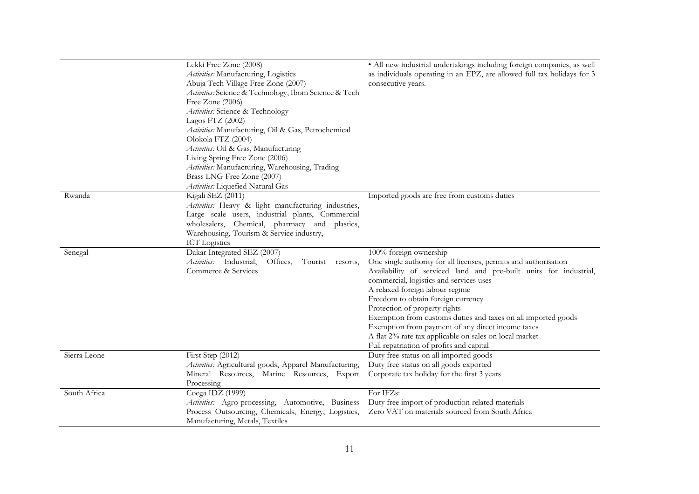|              | Lekki Free Zone (2008)<br>Activities: Manufacturing, Logistics<br>Abuja Tech Village Free Zone (2007)<br>Activities: Science & Technology, Ibom Science & Tech<br>Free Zone (2006)<br>Activities: Science & Technology<br>Lagos FTZ (2002)<br>Activities: Manufacturing, Oil & Gas, Petrochemical<br>Olokola FTZ (2004)<br>Activities: Oil & Gas, Manufacturing<br>Living Spring Free Zone (2006)<br>Activities: Manufacturing, Warehousing, Trading<br>Brass LNG Free Zone (2007)<br>Activities: Liquefied Natural Gas | · All new industrial undertakings including foreign companies, as well<br>as individuals operating in an EPZ, are allowed full tax holidays for 3<br>consecutive years.                                                                                                                                                                                                                                                                                                                                                                          |
|--------------|-------------------------------------------------------------------------------------------------------------------------------------------------------------------------------------------------------------------------------------------------------------------------------------------------------------------------------------------------------------------------------------------------------------------------------------------------------------------------------------------------------------------------|--------------------------------------------------------------------------------------------------------------------------------------------------------------------------------------------------------------------------------------------------------------------------------------------------------------------------------------------------------------------------------------------------------------------------------------------------------------------------------------------------------------------------------------------------|
| Rwanda       | Kigali SEZ (2011)<br>Activities: Heavy & light manufacturing industries,<br>Large scale users, industrial plants, Commercial<br>wholesalers, Chemical, pharmacy and plastics,<br>Warehousing, Tourism & Service industry,<br><b>ICT</b> Logistics                                                                                                                                                                                                                                                                       | Imported goods are free from customs duties                                                                                                                                                                                                                                                                                                                                                                                                                                                                                                      |
| Senegal      | Dakar Integrated SEZ (2007)<br>Activities: Industrial,<br>Offices,<br>Tourist resorts,<br>Commerce & Services                                                                                                                                                                                                                                                                                                                                                                                                           | 100% foreign ownership<br>One single authority for all licenses, permits and authorisation<br>Availability of serviced land and pre-built units for industrial,<br>commercial, logistics and services uses<br>A relaxed foreign labour regime<br>Freedom to obtain foreign currency<br>Protection of property rights<br>Exemption from customs duties and taxes on all imported goods<br>Exemption from payment of any direct income taxes<br>A flat 2% rate tax applicable on sales on local market<br>Full repatriation of profits and capital |
| Sierra Leone | First Step (2012)<br>Activities: Agricultural goods, Apparel Manufacturing,<br>Mineral Resources, Marine Resources, Export<br>Processing                                                                                                                                                                                                                                                                                                                                                                                | Duty free status on all imported goods<br>Duty free status on all goods exported<br>Corporate tax holiday for the first 3 years                                                                                                                                                                                                                                                                                                                                                                                                                  |
| South Africa | Coega IDZ (1999)<br>Activities: Agro-processing, Automotive, Business<br>Process Outsourcing, Chemicals, Energy, Logistics,<br>Manufacturing, Metals, Textiles                                                                                                                                                                                                                                                                                                                                                          | For IFZs:<br>Duty free import of production related materials<br>Zero VAT on materials sourced from South Africa                                                                                                                                                                                                                                                                                                                                                                                                                                 |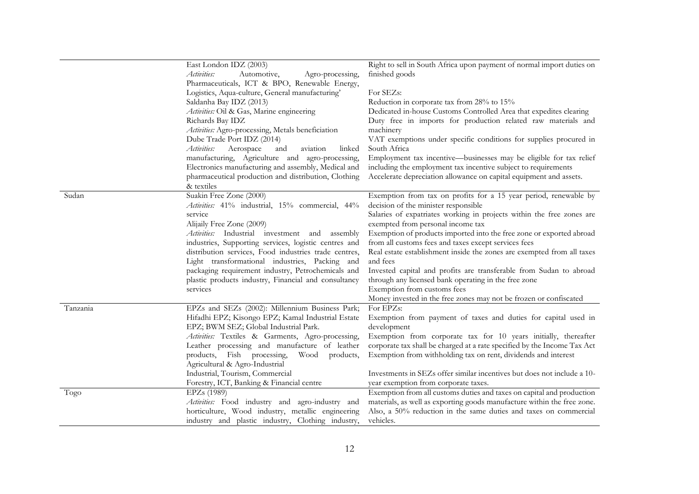|          | East London IDZ (2003)                                | Right to sell in South Africa upon payment of normal import duties on    |
|----------|-------------------------------------------------------|--------------------------------------------------------------------------|
|          | Activities:<br>Automotive,<br>Agro-processing,        | finished goods                                                           |
|          | Pharmaceuticals, ICT & BPO, Renewable Energy,         |                                                                          |
|          | Logistics, Aqua-culture, General manufacturing'       | For SEZs:                                                                |
|          | Saldanha Bay IDZ (2013)                               | Reduction in corporate tax from 28% to 15%                               |
|          | Activities: Oil & Gas, Marine engineering             | Dedicated in-house Customs Controlled Area that expedites clearing       |
|          | Richards Bay IDZ                                      | Duty free in imports for production related raw materials and            |
|          | Activities: Agro-processing, Metals beneficiation     | machinery                                                                |
|          | Dube Trade Port IDZ (2014)                            | VAT exemptions under specific conditions for supplies procured in        |
|          | Activities:<br>Aerospace<br>aviation<br>and<br>linked | South Africa                                                             |
|          | manufacturing, Agriculture and agro-processing,       | Employment tax incentive—businesses may be eligible for tax relief       |
|          | Electronics manufacturing and assembly, Medical and   | including the employment tax incentive subject to requirements           |
|          | pharmaceutical production and distribution, Clothing  | Accelerate depreciation allowance on capital equipment and assets.       |
|          | & textiles                                            |                                                                          |
| Sudan    | Suakin Free Zone (2000)                               | Exemption from tax on profits for a 15 year period, renewable by         |
|          | Activities: 41% industrial, 15% commercial, 44%       | decision of the minister responsible                                     |
|          | service                                               | Salaries of expatriates working in projects within the free zones are    |
|          | Alijaily Free Zone (2009)                             | exempted from personal income tax                                        |
|          | Activities: Industrial investment and assembly        | Exemption of products imported into the free zone or exported abroad     |
|          | industries, Supporting services, logistic centres and | from all customs fees and taxes except services fees                     |
|          | distribution services, Food industries trade centres, | Real estate establishment inside the zones are exempted from all taxes   |
|          | Light transformational industries, Packing and        | and fees                                                                 |
|          | packaging requirement industry, Petrochemicals and    | Invested capital and profits are transferable from Sudan to abroad       |
|          | plastic products industry, Financial and consultancy  | through any licensed bank operating in the free zone                     |
|          | services                                              | Exemption from customs fees                                              |
|          |                                                       | Money invested in the free zones may not be frozen or confiscated        |
| Tanzania | EPZs and SEZs (2002): Millennium Business Park;       | For EPZs:                                                                |
|          | Hifadhi EPZ; Kisongo EPZ; Kamal Industrial Estate     | Exemption from payment of taxes and duties for capital used in           |
|          | EPZ; BWM SEZ; Global Industrial Park.                 | development                                                              |
|          | Activities: Textiles & Garments, Agro-processing,     | Exemption from corporate tax for 10 years initially, thereafter          |
|          | Leather processing and manufacture of leather         | corporate tax shall be charged at a rate specified by the Income Tax Act |
|          | products, Fish processing,<br>Wood products,          | Exemption from withholding tax on rent, dividends and interest           |
|          | Agricultural & Agro-Industrial                        |                                                                          |
|          | Industrial, Tourism, Commercial                       | Investments in SEZs offer similar incentives but does not include a 10-  |
|          | Forestry, ICT, Banking & Financial centre             | year exemption from corporate taxes.                                     |
| Togo     | EPZs (1989)                                           | Exemption from all customs duties and taxes on capital and production    |
|          | Activities: Food industry and agro-industry and       | materials, as well as exporting goods manufacture within the free zone.  |
|          | horticulture, Wood industry, metallic engineering     | Also, a 50% reduction in the same duties and taxes on commercial         |
|          | industry and plastic industry, Clothing industry,     | vehicles.                                                                |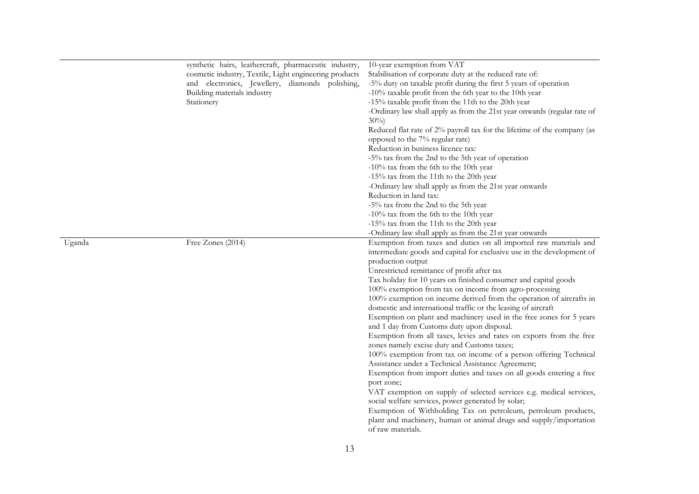|        | synthetic hairs, leathercraft, pharmaceutic industry,<br>cosmetic industry, Textile, Light engineering products<br>and electronics, Jewellery, diamonds polishing,<br>Building materials industry<br>Stationery | 10-year exemption from VAT<br>Stabilisation of corporate duty at the reduced rate of:<br>-5% duty on taxable profit during the first 5 years of operation<br>-10% taxable profit from the 6th year to the 10th year<br>-15% taxable profit from the 11th to the 20th year<br>-Ordinary law shall apply as from the 21st year onwards (regular rate of<br>$30\%$<br>Reduced flat rate of 2% payroll tax for the lifetime of the company (as<br>opposed to the 7% regular rate)<br>Reduction in business licence tax:<br>-5% tax from the 2nd to the 5th year of operation<br>$-10\%$ tax from the 6th to the 10th year<br>-15% tax from the 11th to the 20th year<br>-Ordinary law shall apply as from the 21st year onwards<br>Reduction in land tax:<br>-5% tax from the 2nd to the 5th year<br>$-10\%$ tax from the 6th to the 10th year<br>-15% tax from the 11th to the 20th year<br>-Ordinary law shall apply as from the 21st year onwards                                                                                                                                                                                                                                                                                        |
|--------|-----------------------------------------------------------------------------------------------------------------------------------------------------------------------------------------------------------------|-----------------------------------------------------------------------------------------------------------------------------------------------------------------------------------------------------------------------------------------------------------------------------------------------------------------------------------------------------------------------------------------------------------------------------------------------------------------------------------------------------------------------------------------------------------------------------------------------------------------------------------------------------------------------------------------------------------------------------------------------------------------------------------------------------------------------------------------------------------------------------------------------------------------------------------------------------------------------------------------------------------------------------------------------------------------------------------------------------------------------------------------------------------------------------------------------------------------------------------------|
| Uganda | Free Zones (2014)                                                                                                                                                                                               | Exemption from taxes and duties on all imported raw materials and<br>intermediate goods and capital for exclusive use in the development of<br>production output<br>Unrestricted remittance of profit after tax<br>Tax holiday for 10 years on finished consumer and capital goods<br>100% exemption from tax on income from agro-processing<br>100% exemption on income derived from the operation of aircrafts in<br>domestic and international traffic or the leasing of aircraft<br>Exemption on plant and machinery used in the free zones for 5 years<br>and 1 day from Customs duty upon disposal.<br>Exemption from all taxes, levies and rates on exports from the free<br>zones namely excise duty and Customs taxes;<br>100% exemption from tax on income of a person offering Technical<br>Assistance under a Technical Assistance Agreement;<br>Exemption from import duties and taxes on all goods entering a free<br>port zone;<br>VAT exemption on supply of selected services e.g. medical services,<br>social welfare services, power generated by solar;<br>Exemption of Withholding Tax on petroleum, petroleum products,<br>plant and machinery, human or animal drugs and supply/importation<br>of raw materials. |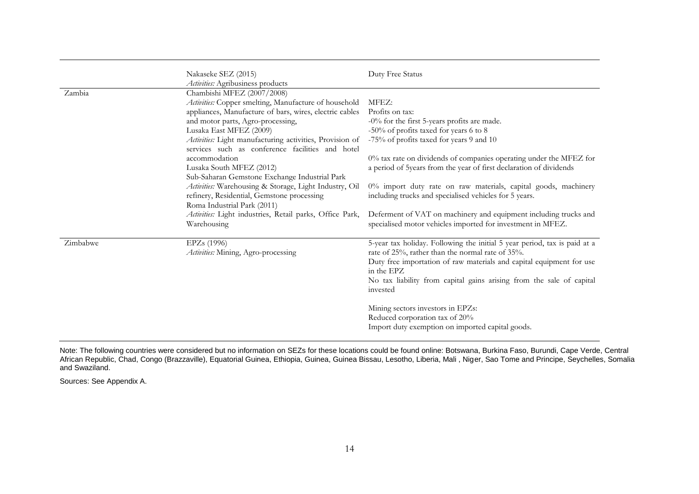|          | Nakaseke SEZ (2015)<br>Activities: Agribusiness products                                                                                                                                                                                                                   | Duty Free Status                                                                                                                                                                                                                                                                                        |
|----------|----------------------------------------------------------------------------------------------------------------------------------------------------------------------------------------------------------------------------------------------------------------------------|---------------------------------------------------------------------------------------------------------------------------------------------------------------------------------------------------------------------------------------------------------------------------------------------------------|
| Zambia   | Chambishi MFEZ (2007/2008)<br>Activities: Copper smelting, Manufacture of household<br>appliances, Manufacture of bars, wires, electric cables<br>and motor parts, Agro-processing,<br>Lusaka East MFEZ (2009)<br>Activities: Light manufacturing activities, Provision of | MFEZ:<br>Profits on tax:<br>-0% for the first 5-years profits are made.<br>-50% of profits taxed for years 6 to 8<br>-75% of profits taxed for years 9 and 10                                                                                                                                           |
|          | services such as conference facilities and hotel<br>accommodation<br>Lusaka South MFEZ (2012)<br>Sub-Saharan Gemstone Exchange Industrial Park                                                                                                                             | 0% tax rate on dividends of companies operating under the MFEZ for<br>a period of 5years from the year of first declaration of dividends                                                                                                                                                                |
|          | Activities: Warehousing & Storage, Light Industry, Oil<br>refinery, Residential, Gemstone processing<br>Roma Industrial Park (2011)                                                                                                                                        | 0% import duty rate on raw materials, capital goods, machinery<br>including trucks and specialised vehicles for 5 years.                                                                                                                                                                                |
|          | Activities: Light industries, Retail parks, Office Park,<br>Warehousing                                                                                                                                                                                                    | Deferment of VAT on machinery and equipment including trucks and<br>specialised motor vehicles imported for investment in MFEZ.                                                                                                                                                                         |
| Zimbabwe | EPZs (1996)<br>Activities: Mining, Agro-processing                                                                                                                                                                                                                         | 5-year tax holiday. Following the initial 5 year period, tax is paid at a<br>rate of 25%, rather than the normal rate of 35%.<br>Duty free importation of raw materials and capital equipment for use<br>in the EPZ<br>No tax liability from capital gains arising from the sale of capital<br>invested |
|          |                                                                                                                                                                                                                                                                            | Mining sectors investors in EPZs:<br>Reduced corporation tax of 20%<br>Import duty exemption on imported capital goods.                                                                                                                                                                                 |

Note: The following countries were considered but no information on SEZs for these locations could be found online: Botswana, Burkina Faso, Burundi, Cape Verde, Central African Republic, Chad, Congo (Brazzaville), Equatorial Guinea, Ethiopia, Guinea, Guinea Bissau, Lesotho, Liberia, Mali , Niger, Sao Tome and Principe, Seychelles, Somalia and Swaziland.

Sources: See Appendix A.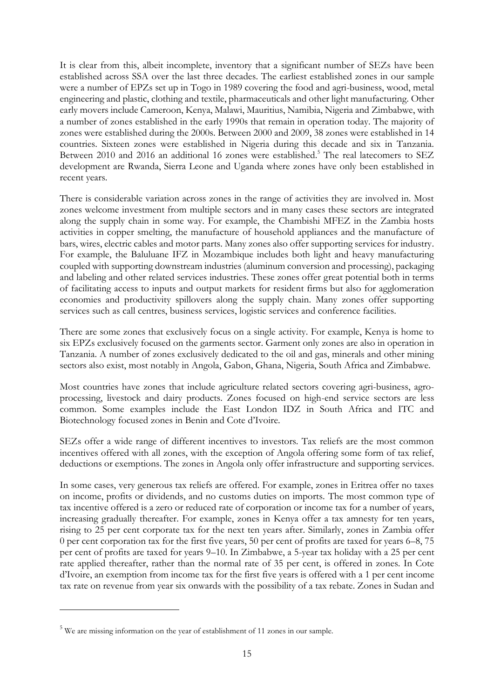It is clear from this, albeit incomplete, inventory that a significant number of SEZs have been established across SSA over the last three decades. The earliest established zones in our sample were a number of EPZs set up in Togo in 1989 covering the food and agri-business, wood, metal engineering and plastic, clothing and textile, pharmaceuticals and other light manufacturing. Other early movers include Cameroon, Kenya, Malawi, Mauritius, Namibia, Nigeria and Zimbabwe, with a number of zones established in the early 1990s that remain in operation today. The majority of zones were established during the 2000s. Between 2000 and 2009, 38 zones were established in 14 countries. Sixteen zones were established in Nigeria during this decade and six in Tanzania. Between 2010 and 2016 an additional 16 zones were established.<sup>5</sup> The real latecomers to SEZ development are Rwanda, Sierra Leone and Uganda where zones have only been established in recent years.

There is considerable variation across zones in the range of activities they are involved in. Most zones welcome investment from multiple sectors and in many cases these sectors are integrated along the supply chain in some way. For example, the Chambishi MFEZ in the Zambia hosts activities in copper smelting, the manufacture of household appliances and the manufacture of bars, wires, electric cables and motor parts. Many zones also offer supporting services for industry. For example, the Baluluane IFZ in Mozambique includes both light and heavy manufacturing coupled with supporting downstream industries (aluminum conversion and processing), packaging and labeling and other related services industries. These zones offer great potential both in terms of facilitating access to inputs and output markets for resident firms but also for agglomeration economies and productivity spillovers along the supply chain. Many zones offer supporting services such as call centres, business services, logistic services and conference facilities.

There are some zones that exclusively focus on a single activity. For example, Kenya is home to six EPZs exclusively focused on the garments sector. Garment only zones are also in operation in Tanzania. A number of zones exclusively dedicated to the oil and gas, minerals and other mining sectors also exist, most notably in Angola, Gabon, Ghana, Nigeria, South Africa and Zimbabwe.

Most countries have zones that include agriculture related sectors covering agri-business, agroprocessing, livestock and dairy products. Zones focused on high-end service sectors are less common. Some examples include the East London IDZ in South Africa and ITC and Biotechnology focused zones in Benin and Cote d'Ivoire.

SEZs offer a wide range of different incentives to investors. Tax reliefs are the most common incentives offered with all zones, with the exception of Angola offering some form of tax relief, deductions or exemptions. The zones in Angola only offer infrastructure and supporting services.

In some cases, very generous tax reliefs are offered. For example, zones in Eritrea offer no taxes on income, profits or dividends, and no customs duties on imports. The most common type of tax incentive offered is a zero or reduced rate of corporation or income tax for a number of years, increasing gradually thereafter. For example, zones in Kenya offer a tax amnesty for ten years, rising to 25 per cent corporate tax for the next ten years after. Similarly, zones in Zambia offer 0 per cent corporation tax for the first five years, 50 per cent of profits are taxed for years 6–8, 75 per cent of profits are taxed for years 9–10. In Zimbabwe, a 5-year tax holiday with a 25 per cent rate applied thereafter, rather than the normal rate of 35 per cent, is offered in zones. In Cote d'Ivoire, an exemption from income tax for the first five years is offered with a 1 per cent income tax rate on revenue from year six onwards with the possibility of a tax rebate. Zones in Sudan and

-

<sup>5</sup> We are missing information on the year of establishment of 11 zones in our sample.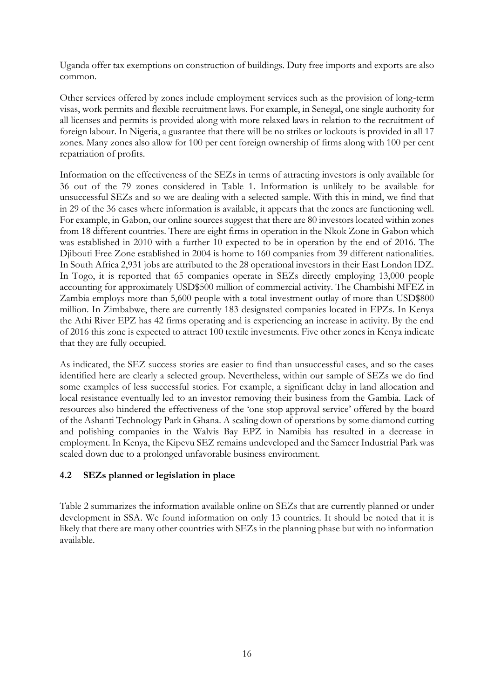Uganda offer tax exemptions on construction of buildings. Duty free imports and exports are also common.

Other services offered by zones include employment services such as the provision of long-term visas, work permits and flexible recruitment laws. For example, in Senegal, one single authority for all licenses and permits is provided along with more relaxed laws in relation to the recruitment of foreign labour. In Nigeria, a guarantee that there will be no strikes or lockouts is provided in all 17 zones. Many zones also allow for 100 per cent foreign ownership of firms along with 100 per cent repatriation of profits.

Information on the effectiveness of the SEZs in terms of attracting investors is only available for 36 out of the 79 zones considered in Table 1. Information is unlikely to be available for unsuccessful SEZs and so we are dealing with a selected sample. With this in mind, we find that in 29 of the 36 cases where information is available, it appears that the zones are functioning well. For example, in Gabon, our online sources suggest that there are 80 investors located within zones from 18 different countries. There are eight firms in operation in the Nkok Zone in Gabon which was established in 2010 with a further 10 expected to be in operation by the end of 2016. The Djibouti Free Zone established in 2004 is home to 160 companies from 39 different nationalities. In South Africa 2,931 jobs are attributed to the 28 operational investors in their East London IDZ. In Togo, it is reported that 65 companies operate in SEZs directly employing 13,000 people accounting for approximately USD\$500 million of commercial activity. The Chambishi MFEZ in Zambia employs more than 5,600 people with a total investment outlay of more than USD\$800 million. In Zimbabwe, there are currently 183 designated companies located in EPZs. In Kenya the Athi River EPZ has 42 firms operating and is experiencing an increase in activity. By the end of 2016 this zone is expected to attract 100 textile investments. Five other zones in Kenya indicate that they are fully occupied.

As indicated, the SEZ success stories are easier to find than unsuccessful cases, and so the cases identified here are clearly a selected group. Nevertheless, within our sample of SEZs we do find some examples of less successful stories. For example, a significant delay in land allocation and local resistance eventually led to an investor removing their business from the Gambia. Lack of resources also hindered the effectiveness of the 'one stop approval service' offered by the board of the Ashanti Technology Park in Ghana. A scaling down of operations by some diamond cutting and polishing companies in the Walvis Bay EPZ in Namibia has resulted in a decrease in employment. In Kenya, the Kipevu SEZ remains undeveloped and the Sameer Industrial Park was scaled down due to a prolonged unfavorable business environment.

## **4.2 SEZs planned or legislation in place**

Table 2 summarizes the information available online on SEZs that are currently planned or under development in SSA. We found information on only 13 countries. It should be noted that it is likely that there are many other countries with SEZs in the planning phase but with no information available.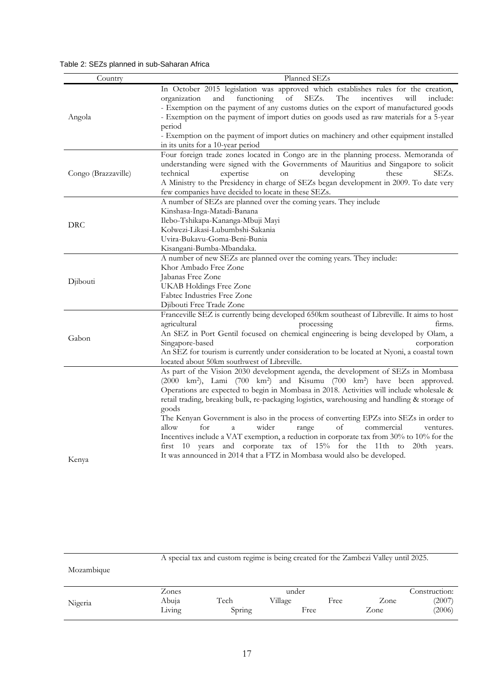## Table 2: SEZs planned in sub-Saharan Africa

| Country             | Planned SEZs                                                                                                                                                                                                                                                                                                                                                                                                                                                                                                                                                                                                                                                                                                                                                                                                               |  |  |  |
|---------------------|----------------------------------------------------------------------------------------------------------------------------------------------------------------------------------------------------------------------------------------------------------------------------------------------------------------------------------------------------------------------------------------------------------------------------------------------------------------------------------------------------------------------------------------------------------------------------------------------------------------------------------------------------------------------------------------------------------------------------------------------------------------------------------------------------------------------------|--|--|--|
| Angola              | In October 2015 legislation was approved which establishes rules for the creation,<br>organization<br>of<br>SEZs.<br>The<br>and functioning<br>incentives<br>will<br>include:<br>- Exemption on the payment of any customs duties on the export of manufactured goods<br>- Exemption on the payment of import duties on goods used as raw materials for a 5-year<br>period<br>- Exemption on the payment of import duties on machinery and other equipment installed<br>in its units for a 10-year period                                                                                                                                                                                                                                                                                                                  |  |  |  |
| Congo (Brazzaville) | Four foreign trade zones located in Congo are in the planning process. Memoranda of<br>understanding were signed with the Governments of Mauritius and Singapore to solicit<br>technical<br>expertise<br>developing<br>SEZs.<br>on<br>these<br>A Ministry to the Presidency in charge of SEZs began development in 2009. To date very<br>few companies have decided to locate in these SEZs.                                                                                                                                                                                                                                                                                                                                                                                                                               |  |  |  |
| DRC                 | A number of SEZs are planned over the coming years. They include<br>Kinshasa-Inga-Matadi-Banana<br>Ilebo-Tshikapa-Kananga-Mbuji Mayi<br>Kolwezi-Likasi-Lubumbshi-Sakania<br>Uvira-Bukavu-Goma-Beni-Bunia<br>Kisangani-Bumba-Mbandaka.                                                                                                                                                                                                                                                                                                                                                                                                                                                                                                                                                                                      |  |  |  |
| Djibouti            | A number of new SEZs are planned over the coming years. They include:<br>Khor Ambado Free Zone<br>Jabanas Free Zone<br>UKAB Holdings Free Zone<br>Fabtec Industries Free Zone<br>Djibouti Free Trade Zone                                                                                                                                                                                                                                                                                                                                                                                                                                                                                                                                                                                                                  |  |  |  |
| Gabon               | Franceville SEZ is currently being developed 650km southeast of Libreville. It aims to host<br>agricultural<br>processing<br>firms.<br>An SEZ in Port Gentil focused on chemical engineering is being developed by Olam, a<br>Singapore-based<br>corporation<br>An SEZ for tourism is currently under consideration to be located at Nyoni, a coastal town<br>located about 50km southwest of Libreville.                                                                                                                                                                                                                                                                                                                                                                                                                  |  |  |  |
| Kenya               | As part of the Vision 2030 development agenda, the development of SEZs in Mombasa<br>(2000 km <sup>2</sup> ), Lami (700 km <sup>2</sup> ) and Kisumu (700 km <sup>2</sup> ) have been approved.<br>Operations are expected to begin in Mombasa in 2018. Activities will include wholesale &<br>retail trading, breaking bulk, re-packaging logistics, warehousing and handling & storage of<br>goods<br>The Kenyan Government is also in the process of converting EPZs into SEZs in order to<br>for<br>wider<br>of<br>commercial<br>allow<br>$\rm{a}$<br>range<br>ventures.<br>Incentives include a VAT exemption, a reduction in corporate tax from 30% to 10% for the<br>first 10 years and corporate tax of 15% for the 11th to 20th years.<br>It was announced in 2014 that a FTZ in Mombasa would also be developed. |  |  |  |

| Mozambique |                |        |                  |      |      |                         |
|------------|----------------|--------|------------------|------|------|-------------------------|
| Nigeria    | Zones<br>Abuia | Tech   | under<br>Village | Free | Zone | Construction:<br>(2007) |
|            | Living         | Spring |                  | Free | Zone | (2006)                  |

A special tax and custom regime is being created for the Zambezi Valley until 2025.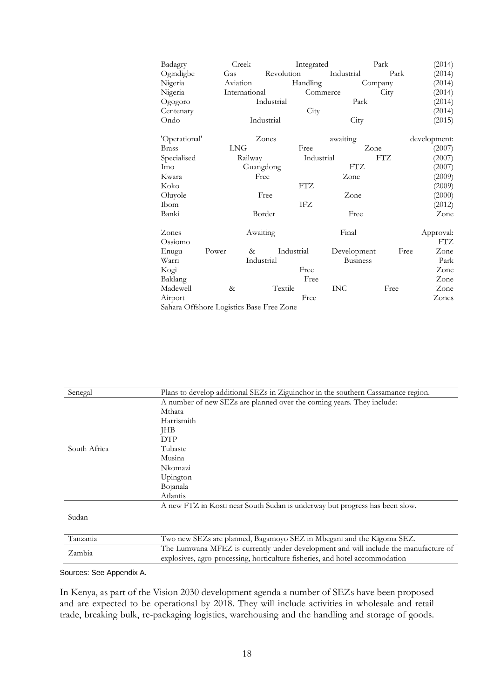| Badagry                                  |       | Creek         |            | Integrated |            |                 | Park       |              | (2014)    |
|------------------------------------------|-------|---------------|------------|------------|------------|-----------------|------------|--------------|-----------|
| Ogindigbe                                | Gas   |               | Revolution |            | Industrial |                 | Park       |              | (2014)    |
| Nigeria                                  |       | Aviation      |            | Handling   |            | Company         |            |              | (2014)    |
| Nigeria                                  |       | International |            |            | Commerce   |                 | City       | (2014)       |           |
| Ogogoro                                  |       |               | Industrial |            |            | Park            |            |              | (2014)    |
| Centenary                                |       |               |            | City       |            |                 |            |              | (2014)    |
| Ondo                                     |       |               | Industrial |            |            | City            |            |              | (2015)    |
| 'Operational'                            |       |               | Zones      |            | awaiting   |                 |            | development: |           |
| <b>Brass</b>                             |       | <b>LNG</b>    |            | Free       |            | Zone            |            |              | (2007)    |
| Specialised                              |       | Railway       |            | Industrial |            |                 | <b>FTZ</b> |              | (2007)    |
| Imo                                      |       | Guangdong     |            |            |            | <b>FTZ</b>      |            |              | (2007)    |
| Kwara                                    |       | Free          |            |            | Zone       |                 |            |              | (2009)    |
| Koko                                     |       |               |            | <b>FTZ</b> |            |                 |            |              | (2009)    |
| Oluyole                                  | Free  |               |            | Zone       |            |                 | (2000)     |              |           |
| Ibom                                     |       |               |            | IFZ        |            |                 |            |              | (2012)    |
| Banki                                    |       |               | Border     |            |            | Free            |            |              | Zone      |
| Zones                                    |       | Awaiting      |            |            |            | Final           |            |              | Approval: |
| Ossiomo                                  |       |               |            |            |            |                 |            |              | FTZ       |
| Enugu                                    | Power | &             |            | Industrial |            | Development     | Free       |              | Zone      |
| Warri                                    |       | Industrial    |            |            |            | <b>Business</b> |            |              | Park      |
| Kogi                                     |       |               |            | Free       |            |                 |            |              | Zone      |
| Baklang                                  |       |               |            | Free       |            |                 |            |              | Zone      |
| Madewell                                 | $\&$  |               | Textile    |            | <b>INC</b> |                 | Free       |              | Zone      |
| Airport                                  |       |               |            | Free       |            |                 |            |              | Zones     |
| Sahara Offshore Logistics Base Free Zone |       |               |            |            |            |                 |            |              |           |

| Senegal      | Plans to develop additional SEZs in Ziguinchor in the southern Cassamance region.   |
|--------------|-------------------------------------------------------------------------------------|
|              | A number of new SEZs are planned over the coming years. They include:               |
|              | Mthata                                                                              |
|              | Harrismith                                                                          |
|              | JHB                                                                                 |
|              | <b>DTP</b>                                                                          |
| South Africa | Tubaste                                                                             |
|              | Musina                                                                              |
|              | Nkomazi                                                                             |
|              | Upington                                                                            |
|              | Bojanala                                                                            |
|              | Atlantis                                                                            |
|              | A new FTZ in Kosti near South Sudan is underway but progress has been slow.         |
| Sudan        |                                                                                     |
|              |                                                                                     |
| Tanzania     | Two new SEZs are planned, Bagamoyo SEZ in Mbegani and the Kigoma SEZ.               |
|              | The Lumwana MFEZ is currently under development and will include the manufacture of |
| Zambia       | explosives, agro-processing, horticulture fisheries, and hotel accommodation        |

#### Sources: See Appendix A.

In Kenya, as part of the Vision 2030 development agenda a number of SEZs have been proposed and are expected to be operational by 2018. They will include activities in wholesale and retail trade, breaking bulk, re-packaging logistics, warehousing and the handling and storage of goods.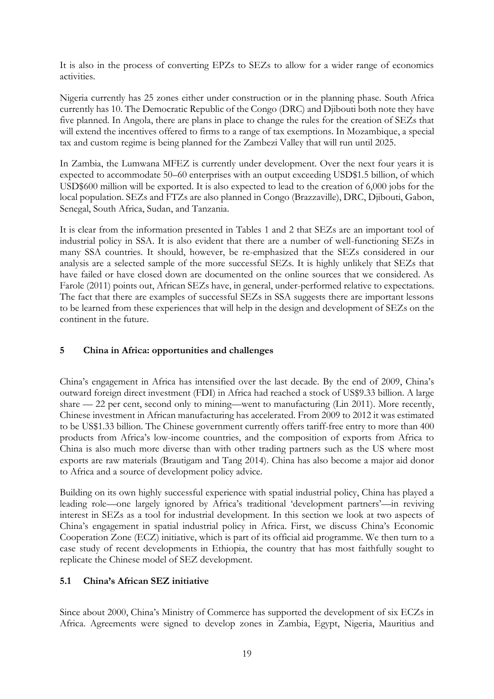It is also in the process of converting EPZs to SEZs to allow for a wider range of economics activities.

Nigeria currently has 25 zones either under construction or in the planning phase. South Africa currently has 10. The Democratic Republic of the Congo (DRC) and Djibouti both note they have five planned. In Angola, there are plans in place to change the rules for the creation of SEZs that will extend the incentives offered to firms to a range of tax exemptions. In Mozambique, a special tax and custom regime is being planned for the Zambezi Valley that will run until 2025.

In Zambia, the Lumwana MFEZ is currently under development. Over the next four years it is expected to accommodate 50–60 enterprises with an output exceeding USD\$1.5 billion, of which USD\$600 million will be exported. It is also expected to lead to the creation of 6,000 jobs for the local population. SEZs and FTZs are also planned in Congo (Brazzaville), DRC, Djibouti, Gabon, Senegal, South Africa, Sudan, and Tanzania.

It is clear from the information presented in Tables 1 and 2 that SEZs are an important tool of industrial policy in SSA. It is also evident that there are a number of well-functioning SEZs in many SSA countries. It should, however, be re-emphasized that the SEZs considered in our analysis are a selected sample of the more successful SEZs. It is highly unlikely that SEZs that have failed or have closed down are documented on the online sources that we considered. As Farole (2011) points out, African SEZs have, in general, under-performed relative to expectations. The fact that there are examples of successful SEZs in SSA suggests there are important lessons to be learned from these experiences that will help in the design and development of SEZs on the continent in the future.

## **5 China in Africa: opportunities and challenges**

China's engagement in Africa has intensified over the last decade. By the end of 2009, China's outward foreign direct investment (FDI) in Africa had reached a stock of US\$9.33 billion. A large share — 22 per cent, second only to mining—went to manufacturing (Lin 2011). More recently, Chinese investment in African manufacturing has accelerated. From 2009 to 2012 it was estimated to be US\$1.33 billion. The Chinese government currently offers tariff-free entry to more than 400 products from Africa's low-income countries, and the composition of exports from Africa to China is also much more diverse than with other trading partners such as the US where most exports are raw materials (Brautigam and Tang 2014). China has also become a major aid donor to Africa and a source of development policy advice.

Building on its own highly successful experience with spatial industrial policy, China has played a leading role—one largely ignored by Africa's traditional 'development partners'—in reviving interest in SEZs as a tool for industrial development. In this section we look at two aspects of China's engagement in spatial industrial policy in Africa. First, we discuss China's Economic Cooperation Zone (ECZ) initiative, which is part of its official aid programme. We then turn to a case study of recent developments in Ethiopia, the country that has most faithfully sought to replicate the Chinese model of SEZ development.

## **5.1 China's African SEZ initiative**

Since about 2000, China's Ministry of Commerce has supported the development of six ECZs in Africa. Agreements were signed to develop zones in Zambia, Egypt, Nigeria, Mauritius and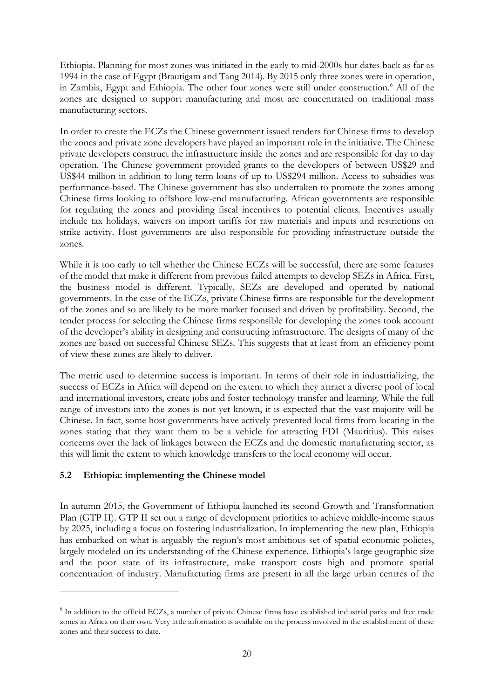Ethiopia. Planning for most zones was initiated in the early to mid-2000s but dates back as far as 1994 in the case of Egypt (Brautigam and Tang 2014). By 2015 only three zones were in operation, in Zambia, Egypt and Ethiopia. The other four zones were still under construction.<sup>6</sup> All of the zones are designed to support manufacturing and most are concentrated on traditional mass manufacturing sectors.

In order to create the ECZs the Chinese government issued tenders for Chinese firms to develop the zones and private zone developers have played an important role in the initiative. The Chinese private developers construct the infrastructure inside the zones and are responsible for day to day operation. The Chinese government provided grants to the developers of between US\$29 and US\$44 million in addition to long term loans of up to US\$294 million. Access to subsidies was performance-based. The Chinese government has also undertaken to promote the zones among Chinese firms looking to offshore low-end manufacturing. African governments are responsible for regulating the zones and providing fiscal incentives to potential clients. Incentives usually include tax holidays, waivers on import tariffs for raw materials and inputs and restrictions on strike activity. Host governments are also responsible for providing infrastructure outside the zones.

While it is too early to tell whether the Chinese ECZs will be successful, there are some features of the model that make it different from previous failed attempts to develop SEZs in Africa. First, the business model is different. Typically, SEZs are developed and operated by national governments. In the case of the ECZs, private Chinese firms are responsible for the development of the zones and so are likely to be more market focused and driven by profitability. Second, the tender process for selecting the Chinese firms responsible for developing the zones took account of the developer's ability in designing and constructing infrastructure. The designs of many of the zones are based on successful Chinese SEZs. This suggests that at least from an efficiency point of view these zones are likely to deliver.

The metric used to determine success is important. In terms of their role in industrializing, the success of ECZs in Africa will depend on the extent to which they attract a diverse pool of local and international investors, create jobs and foster technology transfer and learning. While the full range of investors into the zones is not yet known, it is expected that the vast majority will be Chinese. In fact, some host governments have actively prevented local firms from locating in the zones stating that they want them to be a vehicle for attracting FDI (Mauritius). This raises concerns over the lack of linkages between the ECZs and the domestic manufacturing sector, as this will limit the extent to which knowledge transfers to the local economy will occur.

## **5.2 Ethiopia: implementing the Chinese model**

-

In autumn 2015, the Government of Ethiopia launched its second Growth and Transformation Plan (GTP II). GTP II set out a range of development priorities to achieve middle-income status by 2025, including a focus on fostering industrialization. In implementing the new plan, Ethiopia has embarked on what is arguably the region's most ambitious set of spatial economic policies, largely modeled on its understanding of the Chinese experience. Ethiopia's large geographic size and the poor state of its infrastructure, make transport costs high and promote spatial concentration of industry. Manufacturing firms are present in all the large urban centres of the

<sup>&</sup>lt;sup>6</sup> In addition to the official ECZs, a number of private Chinese firms have established industrial parks and free trade zones in Africa on their own. Very little information is available on the process involved in the establishment of these zones and their success to date.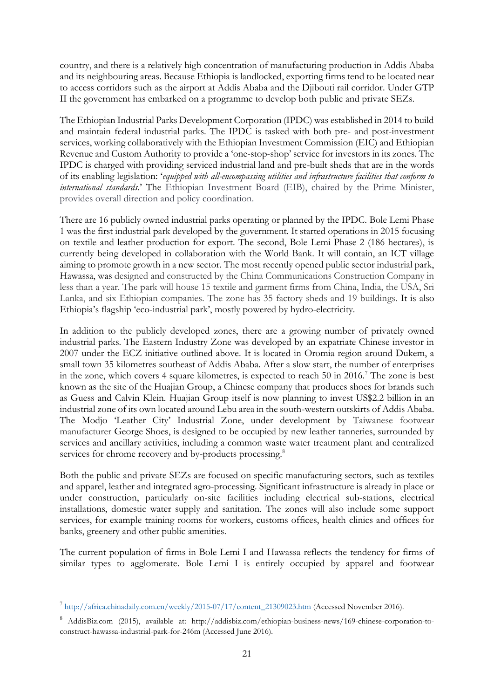country, and there is a relatively high concentration of manufacturing production in Addis Ababa and its neighbouring areas. Because Ethiopia is landlocked, exporting firms tend to be located near to access corridors such as the airport at Addis Ababa and the Djibouti rail corridor. Under GTP II the government has embarked on a programme to develop both public and private SEZs.

The Ethiopian Industrial Parks Development Corporation (IPDC) was established in 2014 to build and maintain federal industrial parks. The IPDC is tasked with both pre- and post-investment services, working collaboratively with the Ethiopian Investment Commission (EIC) and Ethiopian Revenue and Custom Authority to provide a 'one-stop-shop' service for investors in its zones. The IPDC is charged with providing serviced industrial land and pre-built sheds that are in the words of its enabling legislation: '*equipped with all-encompassing utilities and infrastructure facilities that conform to international standards*.' The Ethiopian Investment Board (EIB), chaired by the Prime Minister, provides overall direction and policy coordination.

There are 16 publicly owned industrial parks operating or planned by the IPDC. Bole Lemi Phase 1 was the first industrial park developed by the government. It started operations in 2015 focusing on textile and leather production for export. The second, Bole Lemi Phase 2 (186 hectares), is currently being developed in collaboration with the World Bank. It will contain, an ICT village aiming to promote growth in a new sector. The most recently opened public sector industrial park, Hawassa, was designed and constructed by the China Communications Construction Company in less than a year. The park will house 15 textile and garment firms from China, India, the USA, Sri Lanka, and six Ethiopian companies. The zone has 35 factory sheds and 19 buildings. It is also Ethiopia's flagship 'eco-industrial park', mostly powered by hydro-electricity.

In addition to the publicly developed zones, there are a growing number of privately owned industrial parks. The Eastern Industry Zone was developed by an expatriate Chinese investor in 2007 under the ECZ initiative outlined above. It is located in Oromia region around Dukem, a small town 35 kilometres southeast of Addis Ababa. After a slow start, the number of enterprises in the zone, which covers 4 square kilometres, is expected to reach 50 in 2016.<sup>7</sup> The zone is best known as the site of the Huajian Group, a Chinese company that produces shoes for brands such as Guess and Calvin Klein. Huajian Group itself is now planning to invest US\$2.2 billion in an industrial zone of its own located around Lebu area in the south-western outskirts of Addis Ababa. The Modjo 'Leather City' Industrial Zone, under development by Taiwanese footwear manufacturer George Shoes, is designed to be occupied by new leather tanneries, surrounded by services and ancillary activities, including a common waste water treatment plant and centralized services for chrome recovery and by-products processing.<sup>8</sup>

Both the public and private SEZs are focused on specific manufacturing sectors, such as textiles and apparel, leather and integrated agro-processing. Significant infrastructure is already in place or under construction, particularly on-site facilities including electrical sub-stations, electrical installations, domestic water supply and sanitation. The zones will also include some support services, for example training rooms for workers, customs offices, health clinics and offices for banks, greenery and other public amenities.

The current population of firms in Bole Lemi I and Hawassa reflects the tendency for firms of similar types to agglomerate. Bole Lemi I is entirely occupied by apparel and footwear

<u>.</u>

<sup>7</sup> [http://africa.chinadaily.com.cn/weekly/2015-07/17/content\\_21309023.htm](http://africa.chinadaily.com.cn/weekly/2015-07/17/content_21309023.htm) (Accessed November 2016).

<sup>8</sup> AddisBiz.com (2015), available at: http://addisbiz.com/ethiopian-business-news/169-chinese-corporation-toconstruct-hawassa-industrial-park-for-246m (Accessed June 2016).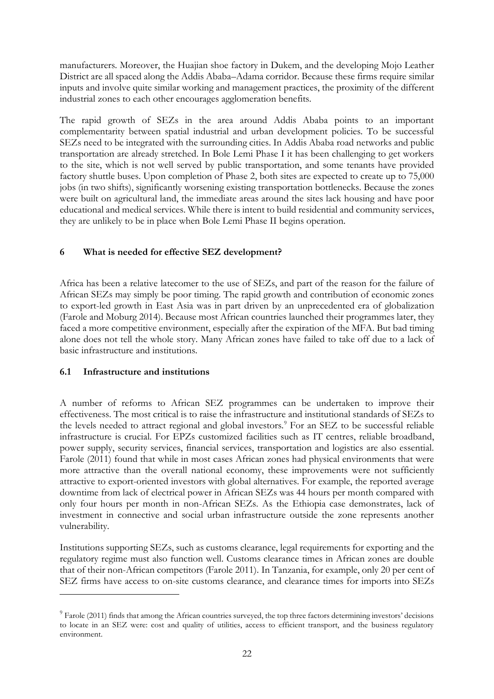manufacturers. Moreover, the Huajian shoe factory in Dukem, and the developing Mojo Leather District are all spaced along the Addis Ababa–Adama corridor. Because these firms require similar inputs and involve quite similar working and management practices, the proximity of the different industrial zones to each other encourages agglomeration benefits.

The rapid growth of SEZs in the area around Addis Ababa points to an important complementarity between spatial industrial and urban development policies. To be successful SEZs need to be integrated with the surrounding cities. In Addis Ababa road networks and public transportation are already stretched. In Bole Lemi Phase I it has been challenging to get workers to the site, which is not well served by public transportation, and some tenants have provided factory shuttle buses. Upon completion of Phase 2, both sites are expected to create up to 75,000 jobs (in two shifts), significantly worsening existing transportation bottlenecks. Because the zones were built on agricultural land, the immediate areas around the sites lack housing and have poor educational and medical services. While there is intent to build residential and community services, they are unlikely to be in place when Bole Lemi Phase II begins operation.

## **6 What is needed for effective SEZ development?**

Africa has been a relative latecomer to the use of SEZs, and part of the reason for the failure of African SEZs may simply be poor timing. The rapid growth and contribution of economic zones to export-led growth in East Asia was in part driven by an unprecedented era of globalization (Farole and Moburg 2014). Because most African countries launched their programmes later, they faced a more competitive environment, especially after the expiration of the MFA. But bad timing alone does not tell the whole story. Many African zones have failed to take off due to a lack of basic infrastructure and institutions.

## **6.1 Infrastructure and institutions**

-

A number of reforms to African SEZ programmes can be undertaken to improve their effectiveness. The most critical is to raise the infrastructure and institutional standards of SEZs to the levels needed to attract regional and global investors.<sup>9</sup> For an SEZ to be successful reliable infrastructure is crucial. For EPZs customized facilities such as IT centres, reliable broadband, power supply, security services, financial services, transportation and logistics are also essential. Farole (2011) found that while in most cases African zones had physical environments that were more attractive than the overall national economy, these improvements were not sufficiently attractive to export-oriented investors with global alternatives. For example, the reported average downtime from lack of electrical power in African SEZs was 44 hours per month compared with only four hours per month in non-African SEZs. As the Ethiopia case demonstrates, lack of investment in connective and social urban infrastructure outside the zone represents another vulnerability.

Institutions supporting SEZs, such as customs clearance, legal requirements for exporting and the regulatory regime must also function well. Customs clearance times in African zones are double that of their non-African competitors (Farole 2011). In Tanzania, for example, only 20 per cent of SEZ firms have access to on-site customs clearance, and clearance times for imports into SEZs

 $9$  Farole (2011) finds that among the African countries surveyed, the top three factors determining investors' decisions to locate in an SEZ were: cost and quality of utilities, access to efficient transport, and the business regulatory environment.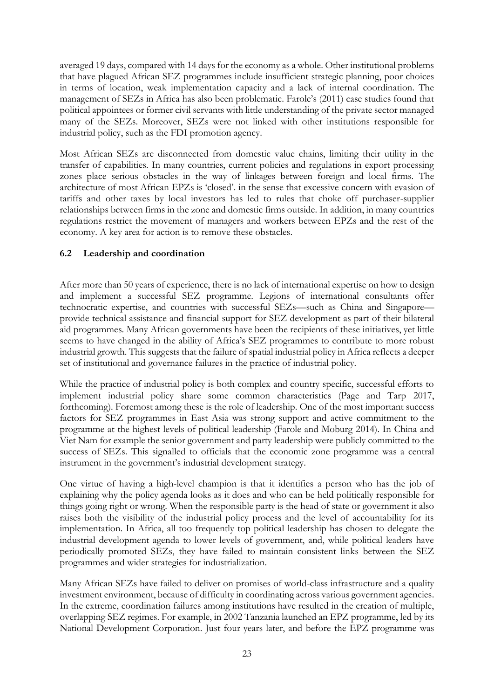averaged 19 days, compared with 14 days for the economy as a whole. Other institutional problems that have plagued African SEZ programmes include insufficient strategic planning, poor choices in terms of location, weak implementation capacity and a lack of internal coordination. The management of SEZs in Africa has also been problematic. Farole's (2011) case studies found that political appointees or former civil servants with little understanding of the private sector managed many of the SEZs. Moreover, SEZs were not linked with other institutions responsible for industrial policy, such as the FDI promotion agency.

Most African SEZs are disconnected from domestic value chains, limiting their utility in the transfer of capabilities. In many countries, current policies and regulations in export processing zones place serious obstacles in the way of linkages between foreign and local firms. The architecture of most African EPZs is 'closed'. in the sense that excessive concern with evasion of tariffs and other taxes by local investors has led to rules that choke off purchaser-supplier relationships between firms in the zone and domestic firms outside. In addition, in many countries regulations restrict the movement of managers and workers between EPZs and the rest of the economy. A key area for action is to remove these obstacles.

## **6.2 Leadership and coordination**

After more than 50 years of experience, there is no lack of international expertise on how to design and implement a successful SEZ programme. Legions of international consultants offer technocratic expertise, and countries with successful SEZs—such as China and Singapore provide technical assistance and financial support for SEZ development as part of their bilateral aid programmes. Many African governments have been the recipients of these initiatives, yet little seems to have changed in the ability of Africa's SEZ programmes to contribute to more robust industrial growth. This suggests that the failure of spatial industrial policy in Africa reflects a deeper set of institutional and governance failures in the practice of industrial policy.

While the practice of industrial policy is both complex and country specific, successful efforts to implement industrial policy share some common characteristics (Page and Tarp 2017, forthcoming). Foremost among these is the role of leadership. One of the most important success factors for SEZ programmes in East Asia was strong support and active commitment to the programme at the highest levels of political leadership (Farole and Moburg 2014). In China and Viet Nam for example the senior government and party leadership were publicly committed to the success of SEZs. This signalled to officials that the economic zone programme was a central instrument in the government's industrial development strategy.

One virtue of having a high-level champion is that it identifies a person who has the job of explaining why the policy agenda looks as it does and who can be held politically responsible for things going right or wrong. When the responsible party is the head of state or government it also raises both the visibility of the industrial policy process and the level of accountability for its implementation. In Africa, all too frequently top political leadership has chosen to delegate the industrial development agenda to lower levels of government, and, while political leaders have periodically promoted SEZs, they have failed to maintain consistent links between the SEZ programmes and wider strategies for industrialization.

Many African SEZs have failed to deliver on promises of world-class infrastructure and a quality investment environment, because of difficulty in coordinating across various government agencies. In the extreme, coordination failures among institutions have resulted in the creation of multiple, overlapping SEZ regimes. For example, in 2002 Tanzania launched an EPZ programme, led by its National Development Corporation. Just four years later, and before the EPZ programme was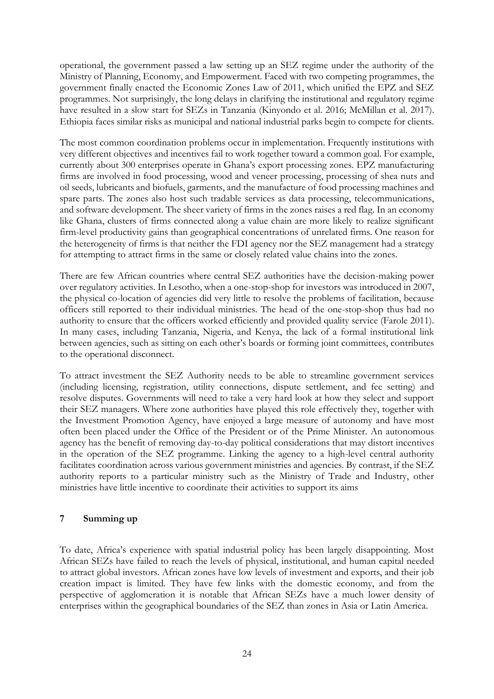operational, the government passed a law setting up an SEZ regime under the authority of the Ministry of Planning, Economy, and Empowerment. Faced with two competing programmes, the government finally enacted the Economic Zones Law of 2011, which unified the EPZ and SEZ programmes. Not surprisingly, the long delays in clarifying the institutional and regulatory regime have resulted in a slow start for SEZs in Tanzania (Kinyondo et al. 2016; McMillan et al. 2017). Ethiopia faces similar risks as municipal and national industrial parks begin to compete for clients.

The most common coordination problems occur in implementation. Frequently institutions with very different objectives and incentives fail to work together toward a common goal. For example, currently about 300 enterprises operate in Ghana's export processing zones. EPZ manufacturing firms are involved in food processing, wood and veneer processing, processing of shea nuts and oil seeds, lubricants and biofuels, garments, and the manufacture of food processing machines and spare parts. The zones also host such tradable services as data processing, telecommunications, and software development. The sheer variety of firms in the zones raises a red flag. In an economy like Ghana, clusters of firms connected along a value chain are more likely to realize significant firm-level productivity gains than geographical concentrations of unrelated firms. One reason for the heterogeneity of firms is that neither the FDI agency nor the SEZ management had a strategy for attempting to attract firms in the same or closely related value chains into the zones.

There are few African countries where central SEZ authorities have the decision-making power over regulatory activities. In Lesotho, when a one-stop-shop for investors was introduced in 2007, the physical co-location of agencies did very little to resolve the problems of facilitation, because officers still reported to their individual ministries. The head of the one-stop-shop thus had no authority to ensure that the officers worked efficiently and provided quality service (Farole 2011). In many cases, including Tanzania, Nigeria, and Kenya, the lack of a formal institutional link between agencies, such as sitting on each other's boards or forming joint committees, contributes to the operational disconnect.

To attract investment the SEZ Authority needs to be able to streamline government services (including licensing, registration, utility connections, dispute settlement, and fee setting) and resolve disputes. Governments will need to take a very hard look at how they select and support their SEZ managers. Where zone authorities have played this role effectively they, together with the Investment Promotion Agency, have enjoyed a large measure of autonomy and have most often been placed under the Office of the President or of the Prime Minister. An autonomous agency has the benefit of removing day-to-day political considerations that may distort incentives in the operation of the SEZ programme. Linking the agency to a high-level central authority facilitates coordination across various government ministries and agencies. By contrast, if the SEZ authority reports to a particular ministry such as the Ministry of Trade and Industry, other ministries have little incentive to coordinate their activities to support its aims

## **7 Summing up**

To date, Africa's experience with spatial industrial policy has been largely disappointing. Most African SEZs have failed to reach the levels of physical, institutional, and human capital needed to attract global investors. African zones have low levels of investment and exports, and their job creation impact is limited. They have few links with the domestic economy, and from the perspective of agglomeration it is notable that African SEZs have a much lower density of enterprises within the geographical boundaries of the SEZ than zones in Asia or Latin America.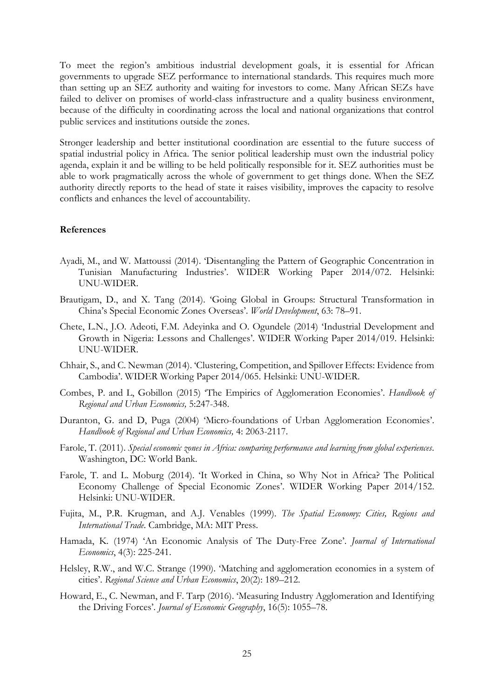To meet the region's ambitious industrial development goals, it is essential for African governments to upgrade SEZ performance to international standards. This requires much more than setting up an SEZ authority and waiting for investors to come. Many African SEZs have failed to deliver on promises of world-class infrastructure and a quality business environment, because of the difficulty in coordinating across the local and national organizations that control public services and institutions outside the zones.

Stronger leadership and better institutional coordination are essential to the future success of spatial industrial policy in Africa. The senior political leadership must own the industrial policy agenda, explain it and be willing to be held politically responsible for it. SEZ authorities must be able to work pragmatically across the whole of government to get things done. When the SEZ authority directly reports to the head of state it raises visibility, improves the capacity to resolve conflicts and enhances the level of accountability.

#### **References**

- Ayadi, M., and W. Mattoussi (2014). 'Disentangling the Pattern of Geographic Concentration in Tunisian Manufacturing Industries'. WIDER Working Paper 2014/072. Helsinki: UNU-WIDER.
- Brautigam, D., and X. Tang (2014). 'Going Global in Groups: Structural Transformation in China's Special Economic Zones Overseas'. *World Development*, 63: 78–91.
- Chete, L.N., J.O. Adeoti, F.M. Adeyinka and O. Ogundele (2014) 'Industrial Development and Growth in Nigeria: Lessons and Challenges'. WIDER Working Paper 2014/019. Helsinki: UNU-WIDER.
- Chhair, S., and C. Newman (2014). 'Clustering, Competition, and Spillover Effects: Evidence from Cambodia'. WIDER Working Paper 2014/065. Helsinki: UNU-WIDER.
- Combes, P. and L, Gobillon (2015) 'The Empirics of Agglomeration Economies'. *Handbook of Regional and Urban Economics,* 5:247-348.
- Duranton, G. and D, Puga (2004) 'Micro-foundations of Urban Agglomeration Economies'. *Handbook of Regional and Urban Economics,* 4: 2063-2117.
- Farole, T. (2011). *Special economic zones in Africa: comparing performance and learning from global experiences*. Washington, DC: World Bank.
- Farole, T. and L. Moburg (2014). 'It Worked in China, so Why Not in Africa? The Political Economy Challenge of Special Economic Zones'. WIDER Working Paper 2014/152. Helsinki: UNU-WIDER.
- Fujita, M., P.R. Krugman, and A.J. Venables (1999). *The Spatial Economy: Cities, Regions and International Trade*. Cambridge, MA: MIT Press.
- Hamada, K. (1974) 'An Economic Analysis of The Duty-Free Zone'. *Journal of International Economics*, 4(3): 225-241.
- Helsley, R.W., and W.C. Strange (1990). '[Matching and agglomeration economies in a system of](http://ideas.repec.org/a/eee/regeco/v20y1990i2p189-212.html)  [cities](http://ideas.repec.org/a/eee/regeco/v20y1990i2p189-212.html)'. *[Regional Science and Urban Economics](http://ideas.repec.org/s/eee/regeco.html)*, 20(2): 189–212.
- Howard, E., C. Newman, and F. Tarp (2016). 'Measuring Industry Agglomeration and Identifying the Driving Forces'. *Journal of Economic Geography*, 16(5): 1055–78.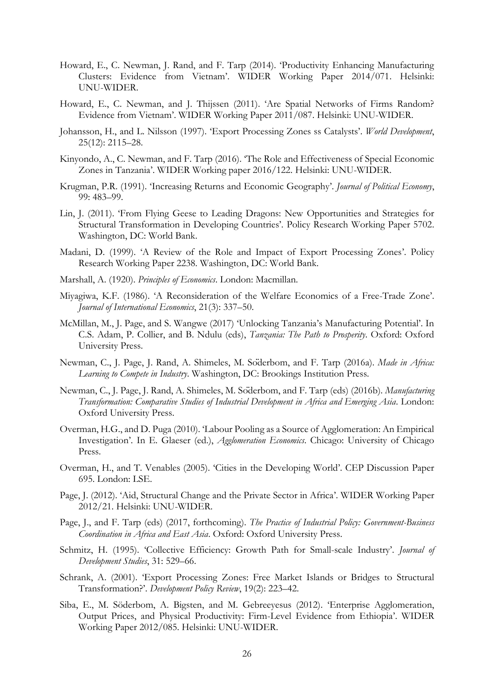- Howard, E., C. Newman, J. Rand, and F. Tarp (2014). 'Productivity Enhancing Manufacturing Clusters: Evidence from Vietnam'. WIDER Working Paper 2014/071. Helsinki: UNU-WIDER.
- Howard, E., C. Newman, and J. Thijssen (2011). 'Are Spatial Networks of Firms Random? Evidence from Vietnam'. WIDER Working Paper 2011/087. Helsinki: UNU-WIDER.
- Johansson, H., and L. Nilsson (1997). 'Export Processing Zones ss Catalysts'. *World Development*, 25(12): 2115–28.
- Kinyondo, A., C. Newman, and F. Tarp (2016). 'The Role and Effectiveness of Special Economic Zones in Tanzania'. WIDER Working paper 2016/122. Helsinki: UNU-WIDER.
- Krugman, P.R. (1991). 'Increasing Returns and Economic Geography'. *Journal of Political Economy*, 99: 483–99.
- Lin, J. (2011). 'From Flying Geese to Leading Dragons: New Opportunities and Strategies for Structural Transformation in Developing Countries'. Policy Research Working Paper 5702. Washington, DC: World Bank.
- Madani, D. (1999). 'A Review of the Role and Impact of Export Processing Zones'. Policy Research Working Paper 2238. Washington, DC: World Bank.
- Marshall, A. (1920). *Principles of Economics*. London: Macmillan.
- Miyagiwa, K.F. (1986). 'A Reconsideration of the Welfare Economics of a Free-Trade Zone'. *Journal of International Economics*, 21(3): 337–50.
- McMillan, M., J. Page, and S. Wangwe (2017) 'Unlocking Tanzania's Manufacturing Potential'. In C.S. Adam, P. Collier, and B. Ndulu (eds), *Tanzania: The Path to Prosperity*. Oxford: Oxford University Press.
- Newman, C., J. Page, J. Rand, A. Shimeles, M. Söderbom, and F. Tarp (2016a). *Made in Africa: Learning to Compete in Industry*. Washington, DC: Brookings Institution Press.
- Newman, C., J. Page, J. Rand, A. Shimeles, M. Söderbom, and F. Tarp (eds) (2016b). *Manufacturing Transformation: Comparative Studies of Industrial Development in Africa and Emerging Asia*. London: Oxford University Press.
- Overman, H.G., and D. Puga (2010). 'Labour Pooling as a Source of Agglomeration: An Empirical Investigation'. In E. Glaeser (ed.), *Agglomeration Economics*. Chicago: University of Chicago Press.
- Overman, H., and T. Venables (2005). 'Cities in the Developing World'. CEP Discussion Paper 695. London: LSE.
- Page, J. (2012). 'Aid, Structural Change and the Private Sector in Africa'. WIDER Working Paper 2012/21. Helsinki: UNU-WIDER.
- Page, J., and F. Tarp (eds) (2017, forthcoming). *The Practice of Industrial Policy: Government-Business Coordination in Africa and East Asia*. Oxford: Oxford University Press.
- Schmitz, H. (1995). 'Collective Efficiency: Growth Path for Small-scale Industry'. *Journal of Development Studies*, 31: 529–66.
- Schrank, A. (2001). 'Export Processing Zones: Free Market Islands or Bridges to Structural Transformation?'. *Development Policy Review*, 19(2): 223–42.
- Siba, E., M. Söderbom, A. Bigsten, and M. Gebreeyesus (2012). 'Enterprise Agglomeration, Output Prices, and Physical Productivity: Firm-Level Evidence from Ethiopia'. WIDER Working Paper 2012/085. Helsinki: UNU-WIDER.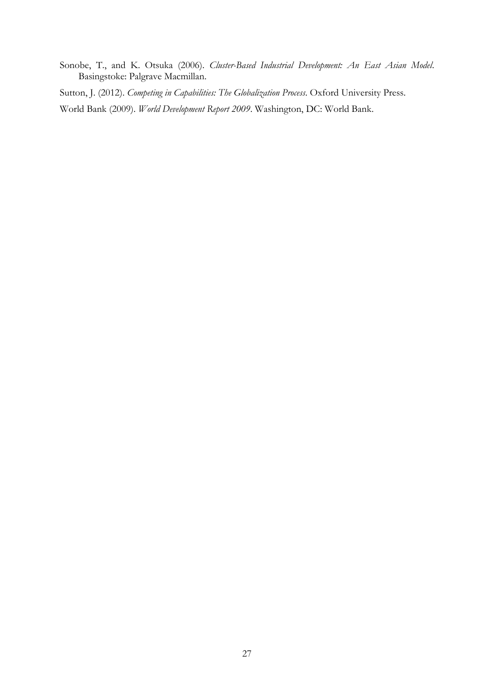Sonobe, T., and K. Otsuka (2006). *Cluster-Based Industrial Development: An East Asian Model*. Basingstoke: Palgrave Macmillan.

Sutton, J. (2012). *Competing in Capabilities: The Globalization Process*. Oxford University Press.

World Bank (2009). *World Development Report 2009*. Washington, DC: World Bank.